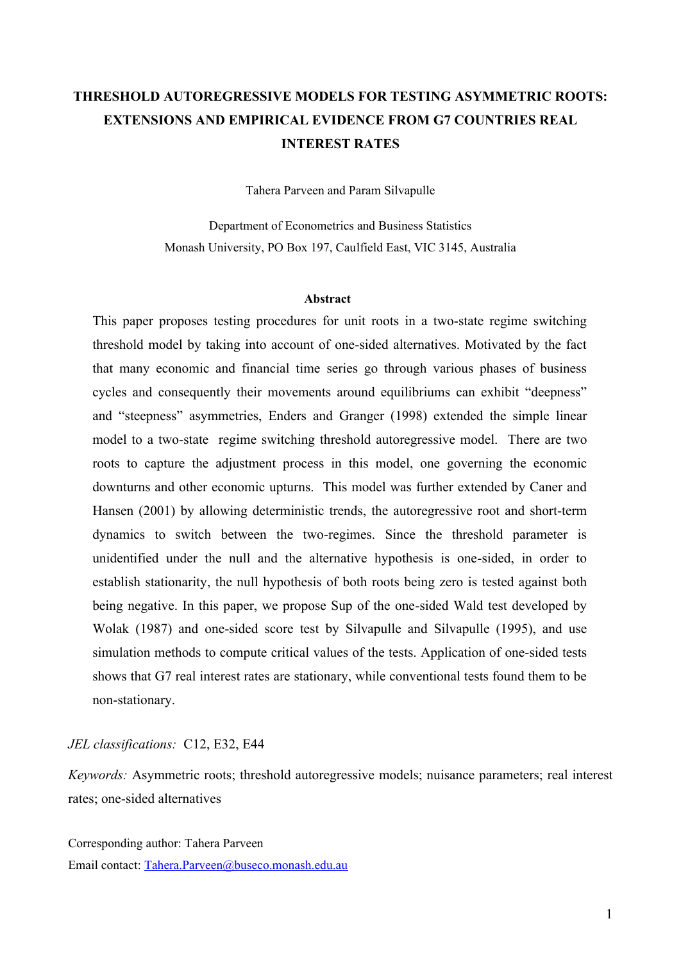## **THRESHOLD AUTOREGRESSIVE MODELS FOR TESTING ASYMMETRIC ROOTS: EXTENSIONS AND EMPIRICAL EVIDENCE FROM G7 COUNTRIES REAL INTEREST RATES**

Tahera Parveen and Param Silvapulle

Department of Econometrics and Business Statistics Monash University, PO Box 197, Caulfield East, VIC 3145, Australia

#### **Abstract**

This paper proposes testing procedures for unit roots in a two-state regime switching threshold model by taking into account of one-sided alternatives. Motivated by the fact that many economic and financial time series go through various phases of business cycles and consequently their movements around equilibriums can exhibit "deepness" and "steepness" asymmetries, Enders and Granger (1998) extended the simple linear model to a two-state regime switching threshold autoregressive model. There are two roots to capture the adjustment process in this model, one governing the economic downturns and other economic upturns. This model was further extended by Caner and Hansen (2001) by allowing deterministic trends, the autoregressive root and short-term dynamics to switch between the two-regimes. Since the threshold parameter is unidentified under the null and the alternative hypothesis is one-sided, in order to establish stationarity, the null hypothesis of both roots being zero is tested against both being negative. In this paper, we propose Sup of the one-sided Wald test developed by Wolak (1987) and one-sided score test by Silvapulle and Silvapulle (1995), and use simulation methods to compute critical values of the tests. Application of one-sided tests shows that G7 real interest rates are stationary, while conventional tests found them to be non-stationary.

#### *JEL classifications:* C12, E32, E44

*Keywords:* Asymmetric roots; threshold autoregressive models; nuisance parameters; real interest rates; one-sided alternatives

Corresponding author: Tahera Parveen Email contact: Tahera.Parveen@buseco.monash.edu.au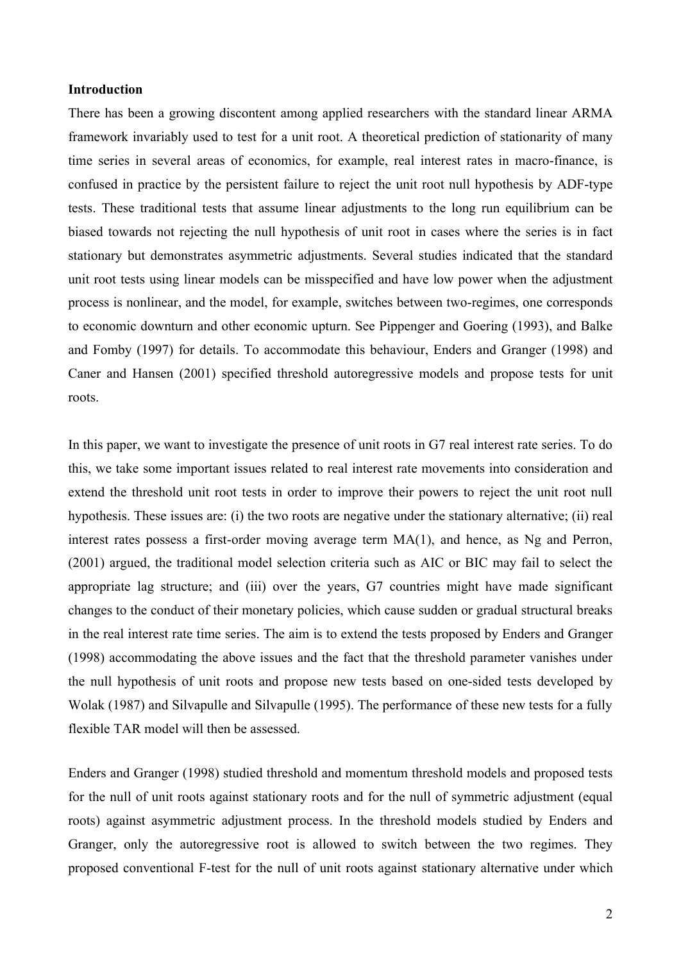#### **Introduction**

There has been a growing discontent among applied researchers with the standard linear ARMA framework invariably used to test for a unit root. A theoretical prediction of stationarity of many time series in several areas of economics, for example, real interest rates in macro-finance, is confused in practice by the persistent failure to reject the unit root null hypothesis by ADF-type tests. These traditional tests that assume linear adjustments to the long run equilibrium can be biased towards not rejecting the null hypothesis of unit root in cases where the series is in fact stationary but demonstrates asymmetric adjustments. Several studies indicated that the standard unit root tests using linear models can be misspecified and have low power when the adjustment process is nonlinear, and the model, for example, switches between two-regimes, one corresponds to economic downturn and other economic upturn. See Pippenger and Goering (1993), and Balke and Fomby (1997) for details. To accommodate this behaviour, Enders and Granger (1998) and Caner and Hansen (2001) specified threshold autoregressive models and propose tests for unit roots.

In this paper, we want to investigate the presence of unit roots in G7 real interest rate series. To do this, we take some important issues related to real interest rate movements into consideration and extend the threshold unit root tests in order to improve their powers to reject the unit root null hypothesis. These issues are: (i) the two roots are negative under the stationary alternative; (ii) real interest rates possess a first-order moving average term MA(1), and hence, as Ng and Perron, (2001) argued, the traditional model selection criteria such as AIC or BIC may fail to select the appropriate lag structure; and (iii) over the years, G7 countries might have made significant changes to the conduct of their monetary policies, which cause sudden or gradual structural breaks in the real interest rate time series. The aim is to extend the tests proposed by Enders and Granger (1998) accommodating the above issues and the fact that the threshold parameter vanishes under the null hypothesis of unit roots and propose new tests based on one-sided tests developed by Wolak (1987) and Silvapulle and Silvapulle (1995). The performance of these new tests for a fully flexible TAR model will then be assessed.

Enders and Granger (1998) studied threshold and momentum threshold models and proposed tests for the null of unit roots against stationary roots and for the null of symmetric adjustment (equal roots) against asymmetric adjustment process. In the threshold models studied by Enders and Granger, only the autoregressive root is allowed to switch between the two regimes. They proposed conventional F-test for the null of unit roots against stationary alternative under which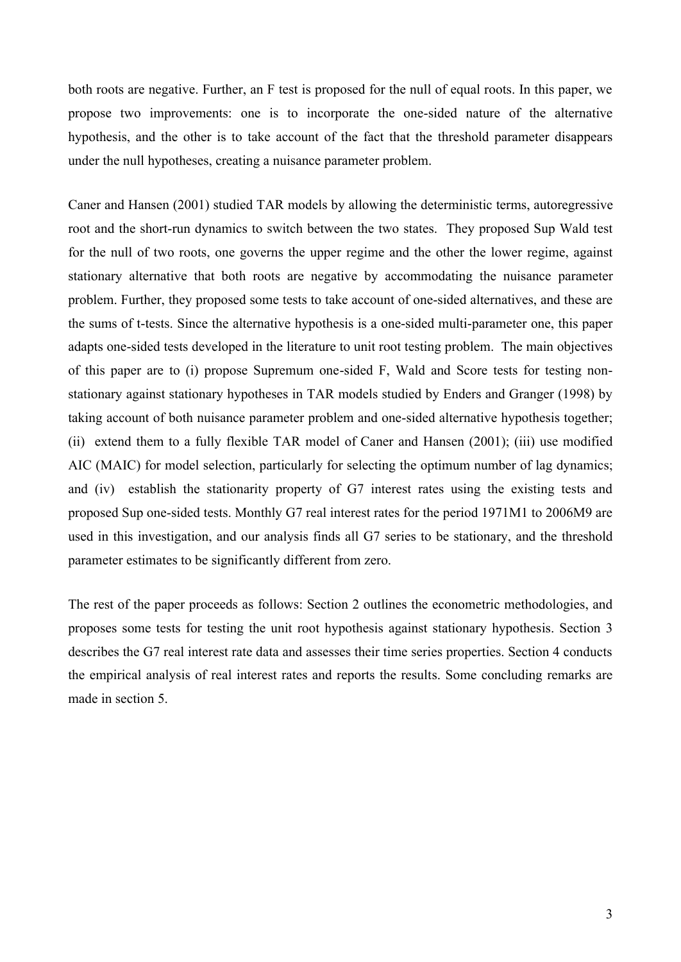both roots are negative. Further, an F test is proposed for the null of equal roots. In this paper, we propose two improvements: one is to incorporate the one-sided nature of the alternative hypothesis, and the other is to take account of the fact that the threshold parameter disappears under the null hypotheses, creating a nuisance parameter problem.

Caner and Hansen (2001) studied TAR models by allowing the deterministic terms, autoregressive root and the short-run dynamics to switch between the two states. They proposed Sup Wald test for the null of two roots, one governs the upper regime and the other the lower regime, against stationary alternative that both roots are negative by accommodating the nuisance parameter problem. Further, they proposed some tests to take account of one-sided alternatives, and these are the sums of t-tests. Since the alternative hypothesis is a one-sided multi-parameter one, this paper adapts one-sided tests developed in the literature to unit root testing problem. The main objectives of this paper are to (i) propose Supremum one-sided F, Wald and Score tests for testing nonstationary against stationary hypotheses in TAR models studied by Enders and Granger (1998) by taking account of both nuisance parameter problem and one-sided alternative hypothesis together; (ii) extend them to a fully flexible TAR model of Caner and Hansen (2001); (iii) use modified AIC (MAIC) for model selection, particularly for selecting the optimum number of lag dynamics; and (iv) establish the stationarity property of G7 interest rates using the existing tests and proposed Sup one-sided tests. Monthly G7 real interest rates for the period 1971M1 to 2006M9 are used in this investigation, and our analysis finds all G7 series to be stationary, and the threshold parameter estimates to be significantly different from zero.

The rest of the paper proceeds as follows: Section 2 outlines the econometric methodologies, and proposes some tests for testing the unit root hypothesis against stationary hypothesis. Section 3 describes the G7 real interest rate data and assesses their time series properties. Section 4 conducts the empirical analysis of real interest rates and reports the results. Some concluding remarks are made in section 5.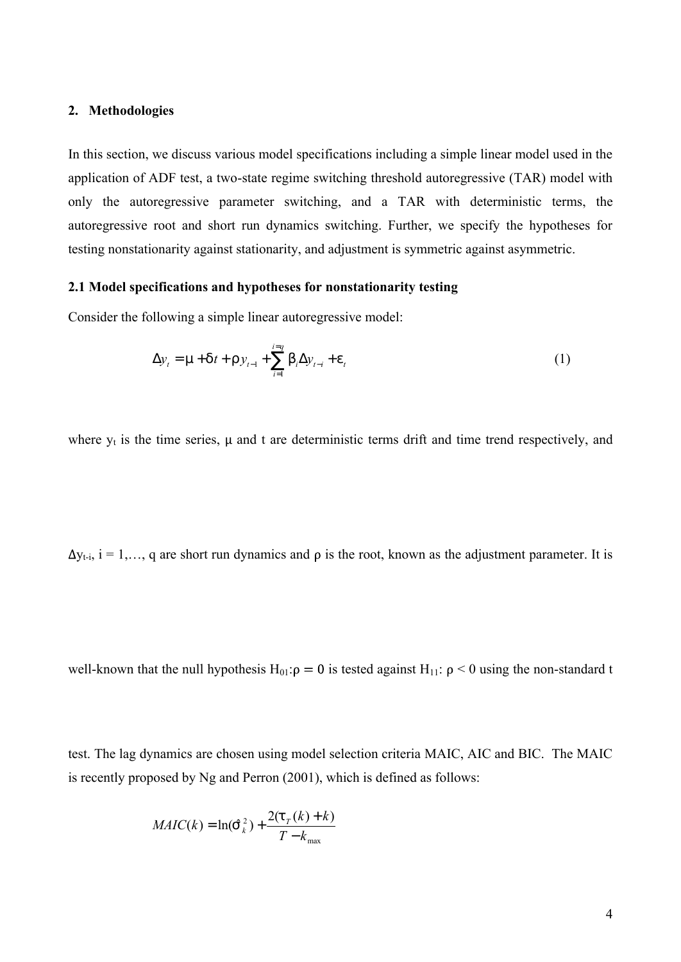### **2. Methodologies**

In this section, we discuss various model specifications including a simple linear model used in the application of ADF test, a two-state regime switching threshold autoregressive (TAR) model with only the autoregressive parameter switching, and a TAR with deterministic terms, the autoregressive root and short run dynamics switching. Further, we specify the hypotheses for testing nonstationarity against stationarity, and adjustment is symmetric against asymmetric.

#### **2.1 Model specifications and hypotheses for nonstationarity testing**

Consider the following a simple linear autoregressive model:

$$
\Delta y_t = m + dt + r y_{t-1} + \sum_{i=1}^{i=q} b_i \Delta y_{t-i} + e_t
$$
 (1)

where  $y_t$  is the time series,  $\mu$  and t are deterministic terms drift and time trend respectively, and

 $\Delta y_{t-i}$ ,  $i = 1,..., q$  are short run dynamics and  $\rho$  is the root, known as the adjustment parameter. It is

well-known that the null hypothesis  $H_{01}:\rho = 0$  is tested against  $H_{11}:\rho < 0$  using the non-standard t

test. The lag dynamics are chosen using model selection criteria MAIC, AIC and BIC. The MAIC is recently proposed by Ng and Perron (2001), which is defined as follows:

$$
MAIC(k) = \ln(\hat{S}_k^2) + \frac{2(t_r(k) + k)}{T - k_{\max}}
$$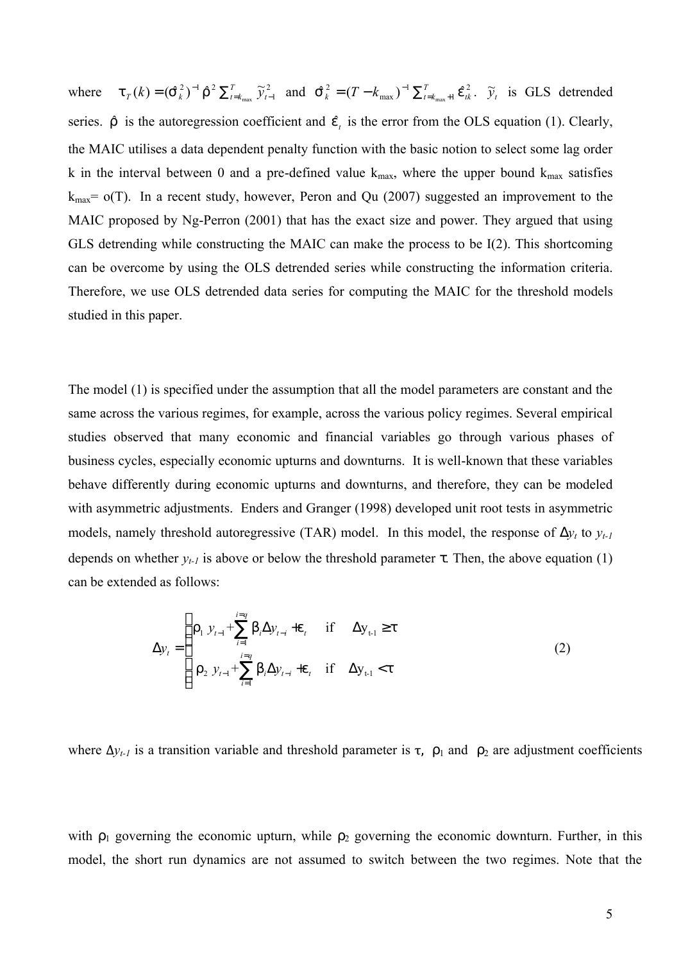where  $t_T(k) = (\hat{S}_k^2)^{-1} \hat{r}^2 \sum_{t=k_{max}}^T \tilde{y}_{t-1}^2$  $=(\hat{\mathsf{S}}_{k}^{\,2})^{-1}\,\hat{\mathsf{\Gamma}}^{\,2}\,\sum_{t=k_{\rm max}}^{T}\,\widetilde{{\cal Y}}_{t}^{\,2}$  $\tau_{T}(k) = (\hat{S}_{k}^{2})^{-1} \hat{r}^{2} \sum_{t=k_{max}}^{T} \widetilde{y}_{t-1}^{2}$  and  $\hat{S}_{k}^{2} = (T - k_{max})^{-1} \sum_{t=k_{max}+1}^{T} \hat{e}_{tk}^{2}$ 1 max  $\hat{\mathcal{S}}_k^2 = (T - k_{\text{max}})^{-1} \sum_{t=k_{\text{max}}+1}^T \hat{\mathcal{C}}_{tk}^2$  $\hat{S}_k^2 = (T - k_{\text{max}})^{-1} \sum_{t=k_{\text{max}}+1}^T \hat{e}_{tk}^2$ .  $\tilde{y}_t$  is GLS detrended series.  $\hat{r}$  is the autoregression coefficient and  $\hat{e}$  is the error from the OLS equation (1). Clearly, the MAIC utilises a data dependent penalty function with the basic notion to select some lag order k in the interval between 0 and a pre-defined value  $k_{max}$ , where the upper bound  $k_{max}$  satisfies  $k_{\text{max}}$  =  $o(T)$ . In a recent study, however, Peron and Qu (2007) suggested an improvement to the MAIC proposed by Ng-Perron (2001) that has the exact size and power. They argued that using GLS detrending while constructing the MAIC can make the process to be I(2). This shortcoming can be overcome by using the OLS detrended series while constructing the information criteria. Therefore, we use OLS detrended data series for computing the MAIC for the threshold models studied in this paper.

The model (1) is specified under the assumption that all the model parameters are constant and the same across the various regimes, for example, across the various policy regimes. Several empirical studies observed that many economic and financial variables go through various phases of business cycles, especially economic upturns and downturns. It is well-known that these variables behave differently during economic upturns and downturns, and therefore, they can be modeled with asymmetric adjustments. Enders and Granger (1998) developed unit root tests in asymmetric models, namely threshold autoregressive (TAR) model. In this model, the response of  $Dy_t$  to  $y_{t-1}$ depends on whether  $y_{t-1}$  is above or below the threshold parameter  $\tau$ . Then, the above equation (1) can be extended as follows:

$$
\Delta y_{t} = \begin{cases} r_{1} y_{t-1} + \sum_{i=1}^{i=q} b_{i} \Delta y_{t-i} + e_{t} & \text{if } \Delta y_{t-1} \ge t \\ r_{2} y_{t-1} + \sum_{i=1}^{i=q} b_{i} \Delta y_{t-i} + e_{t} & \text{if } \Delta y_{t-1} < t \end{cases}
$$
(2)

where  $\Delta y$ <sub>t-1</sub> is a transition variable and threshold parameter is  $\tau$ ,  $\rho_1$  and  $\rho_2$  are adjustment coefficients

with  $\rho_1$  governing the economic upturn, while  $\rho_2$  governing the economic downturn. Further, in this model, the short run dynamics are not assumed to switch between the two regimes. Note that the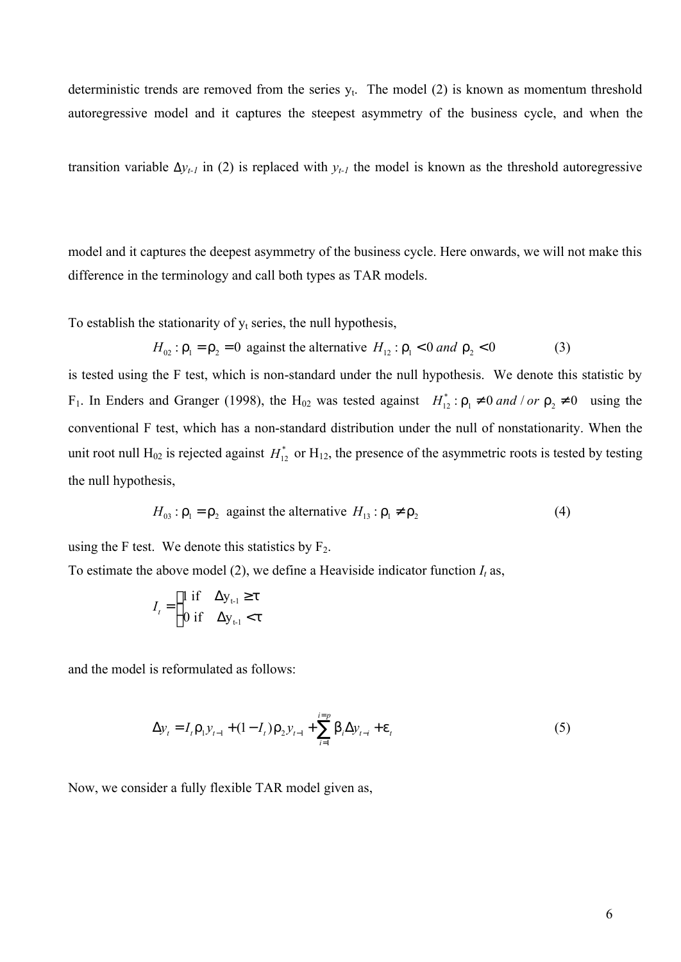deterministic trends are removed from the series  $y_t$ . The model (2) is known as momentum threshold autoregressive model and it captures the steepest asymmetry of the business cycle, and when the

transition variable  $\Delta y$ <sup>*t-1*</sup> in (2) is replaced with  $y$ <sup>*t-1*</sup> the model is known as the threshold autoregressive

model and it captures the deepest asymmetry of the business cycle. Here onwards, we will not make this difference in the terminology and call both types as TAR models.

To establish the stationarity of  $y_t$  series, the null hypothesis,

$$
H_{02}: \Gamma_1 = \Gamma_2 = 0 \text{ against the alternative } H_{12}: \Gamma_1 < 0 \text{ and } \Gamma_2 < 0 \tag{3}
$$

is tested using the F test, which is non-standard under the null hypothesis. We denote this statistic by F<sub>1</sub>. In Enders and Granger (1998), the H<sub>02</sub> was tested against  $H_{12}^*$ :  $r_1 \neq 0$  *and* / *or*  $r_2 \neq 0$  using the conventional F test, which has a non-standard distribution under the null of nonstationarity. When the unit root null H<sub>02</sub> is rejected against  $H_{12}^*$  or H<sub>12</sub>, the presence of the asymmetric roots is tested by testing the null hypothesis,

$$
H_{03} : \Gamma_1 = \Gamma_2 \text{ against the alternative } H_{13} : \Gamma_1 \neq \Gamma_2 \tag{4}
$$

using the F test. We denote this statistics by  $F_2$ .

To estimate the above model (2), we define a Heaviside indicator function  $I_t$  as,

$$
I_t = \begin{cases} 1 \text{ if } & \Delta y_{t-1} \ge t \\ 0 \text{ if } & \Delta y_{t-1} < t \end{cases}
$$

and the model is reformulated as follows:

$$
\Delta y_t = I_t \Gamma_1 y_{t-1} + (1 - I_t) \Gamma_2 y_{t-1} + \sum_{i=1}^{i=p} b_i \Delta y_{t-i} + e_t
$$
\n(5)

Now, we consider a fully flexible TAR model given as,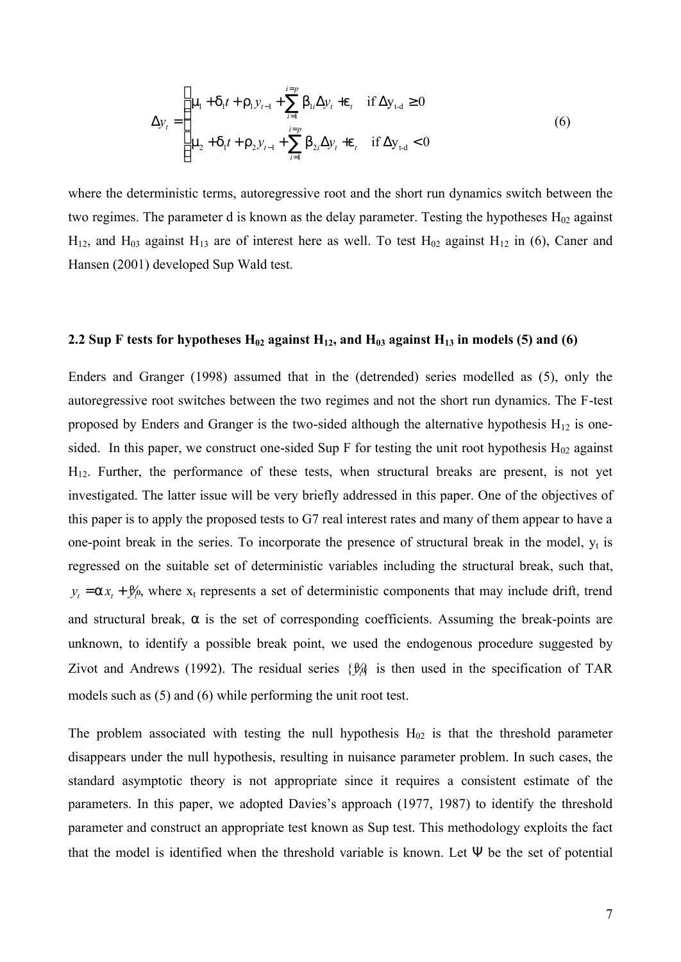$$
\Delta y_{t} = \begin{cases} \mathsf{m}_{1} + \mathsf{d}_{1}t + \mathsf{r}_{1}y_{t-1} + \sum_{i=1}^{i=p} \mathsf{b}_{1i} \Delta y_{t} + \mathsf{e}_{t} & \text{if } \Delta y_{t-d} \ge 0\\ \mathsf{m}_{2} + \mathsf{d}_{1}t + \mathsf{r}_{2}y_{t-1} + \sum_{i=1}^{i=p} \mathsf{b}_{2i} \Delta y_{t} + \mathsf{e}_{t} & \text{if } \Delta y_{t-d} < 0 \end{cases} \tag{6}
$$

where the deterministic terms, autoregressive root and the short run dynamics switch between the two regimes. The parameter d is known as the delay parameter. Testing the hypotheses  $H_{02}$  against  $H_{12}$ , and  $H_{03}$  against  $H_{13}$  are of interest here as well. To test  $H_{02}$  against  $H_{12}$  in (6), Caner and Hansen (2001) developed Sup Wald test.

#### **2.2** Sup F tests for hypotheses  $H_{02}$  against  $H_{12}$ , and  $H_{03}$  against  $H_{13}$  in models (5) and (6)

Enders and Granger (1998) assumed that in the (detrended) series modelled as (5), only the autoregressive root switches between the two regimes and not the short run dynamics. The F-test proposed by Enders and Granger is the two-sided although the alternative hypothesis  $H_{12}$  is onesided. In this paper, we construct one-sided Sup F for testing the unit root hypothesis  $H_{02}$  against H12. Further, the performance of these tests, when structural breaks are present, is not yet investigated. The latter issue will be very briefly addressed in this paper. One of the objectives of this paper is to apply the proposed tests to G7 real interest rates and many of them appear to have a one-point break in the series. To incorporate the presence of structural break in the model,  $y_t$  is regressed on the suitable set of deterministic variables including the structural break, such that,  $y_t = a x_t + y_t^2$ , where  $x_t$  represents a set of deterministic components that may include drift, trend and structural break,  $\alpha$  is the set of corresponding coefficients. Assuming the break-points are unknown, to identify a possible break point, we used the endogenous procedure suggested by Zivot and Andrews (1992). The residual series  $\{\frac{\mathcal{H}}{\mathcal{H}}\}$  is then used in the specification of TAR models such as (5) and (6) while performing the unit root test.

The problem associated with testing the null hypothesis  $H_{02}$  is that the threshold parameter disappears under the null hypothesis, resulting in nuisance parameter problem. In such cases, the standard asymptotic theory is not appropriate since it requires a consistent estimate of the parameters. In this paper, we adopted Davies's approach (1977, 1987) to identify the threshold parameter and construct an appropriate test known as Sup test. This methodology exploits the fact that the model is identified when the threshold variable is known. Let Ψ be the set of potential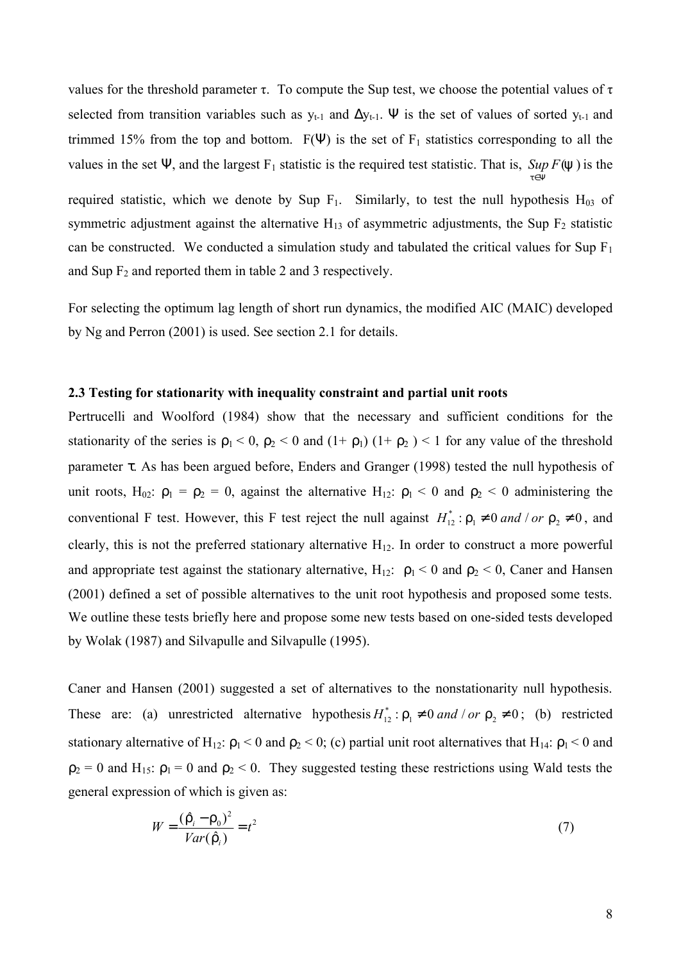values for the threshold parameter τ. To compute the Sup test, we choose the potential values of τ selected from transition variables such as  $y_{t-1}$  and  $\Delta y_{t-1}$ . Ψ is the set of values of sorted  $y_{t-1}$  and trimmed 15% from the top and bottom.  $F(\Psi)$  is the set of  $F_1$  statistics corresponding to all the values in the set  $\Psi$ , and the largest  $F_1$  statistic is the required test statistic. That is, *Sup F*( $\forall$ ) is the

> *t* ∈Ψ

required statistic, which we denote by Sup  $F_1$ . Similarly, to test the null hypothesis  $H_{03}$  of symmetric adjustment against the alternative  $H_{13}$  of asymmetric adjustments, the Sup  $F_2$  statistic can be constructed. We conducted a simulation study and tabulated the critical values for Sup  $F_1$ and Sup  $F_2$  and reported them in table 2 and 3 respectively.

For selecting the optimum lag length of short run dynamics, the modified AIC (MAIC) developed by Ng and Perron (2001) is used. See section 2.1 for details.

#### **2.3 Testing for stationarity with inequality constraint and partial unit roots**

Pertrucelli and Woolford (1984) show that the necessary and sufficient conditions for the stationarity of the series is  $\rho_1 < 0$ ,  $\rho_2 < 0$  and  $(1 + \rho_1)$   $(1 + \rho_2) < 1$  for any value of the threshold parameter τ. As has been argued before, Enders and Granger (1998) tested the null hypothesis of unit roots, H<sub>02</sub>:  $\rho_1 = \rho_2 = 0$ , against the alternative H<sub>12</sub>:  $\rho_1 < 0$  and  $\rho_2 < 0$  administering the conventional F test. However, this F test reject the null against  $H_{12}^*$ :  $r_1 \neq 0$  *and* / *or*  $r_2 \neq 0$ , and clearly, this is not the preferred stationary alternative  $H_{12}$ . In order to construct a more powerful and appropriate test against the stationary alternative,  $H_{12}$ :  $\rho_1 < 0$  and  $\rho_2 < 0$ , Caner and Hansen (2001) defined a set of possible alternatives to the unit root hypothesis and proposed some tests. We outline these tests briefly here and propose some new tests based on one-sided tests developed by Wolak (1987) and Silvapulle and Silvapulle (1995).

Caner and Hansen (2001) suggested a set of alternatives to the nonstationarity null hypothesis. These are: (a) unrestricted alternative hypothesis  $H_{12}^*$ :  $r_1 \neq 0$  *and* / *or*  $r_2 \neq 0$ ; (b) restricted stationary alternative of H<sub>12</sub>:  $\rho_1$  < 0 and  $\rho_2$  < 0; (c) partial unit root alternatives that H<sub>14</sub>:  $\rho_1$  < 0 and  $\rho_2 = 0$  and H<sub>15</sub>:  $\rho_1 = 0$  and  $\rho_2 < 0$ . They suggested testing these restrictions using Wald tests the general expression of which is given as:

$$
W = \frac{(\hat{r}_i - r_0)^2}{Var(\hat{r}_i)} = t^2
$$
\n<sup>(7)</sup>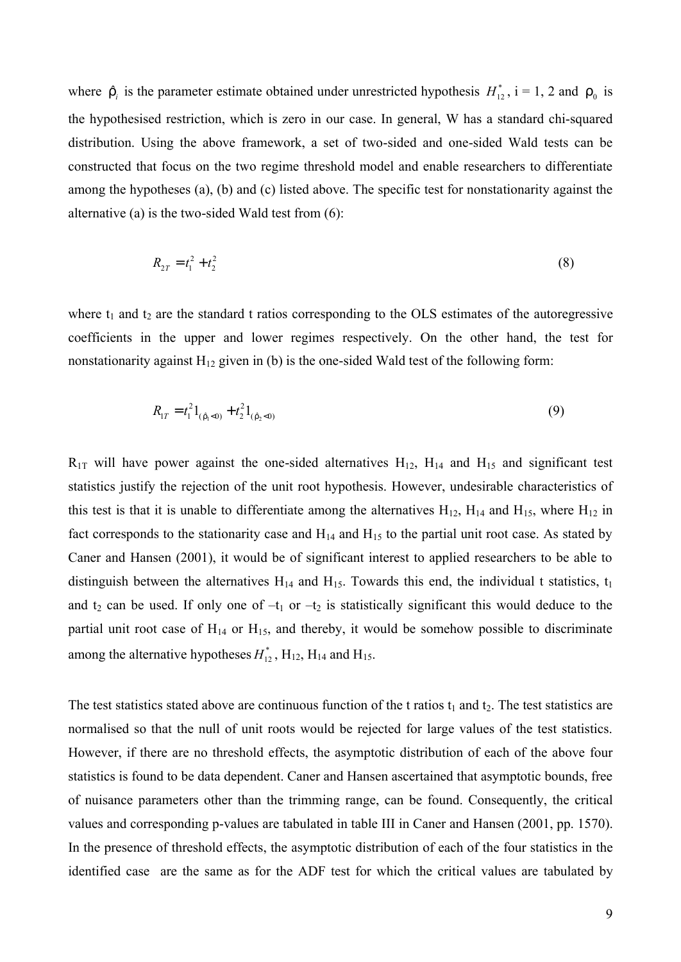where  $\hat{r}_i$  is the parameter estimate obtained under unrestricted hypothesis  $H_{12}^*$ , i = 1, 2 and  $r_0$  is the hypothesised restriction, which is zero in our case. In general, W has a standard chi-squared distribution. Using the above framework, a set of two-sided and one-sided Wald tests can be constructed that focus on the two regime threshold model and enable researchers to differentiate among the hypotheses (a), (b) and (c) listed above. The specific test for nonstationarity against the alternative (a) is the two-sided Wald test from (6):

$$
R_{2T} = t_1^2 + t_2^2 \tag{8}
$$

where  $t_1$  and  $t_2$  are the standard t ratios corresponding to the OLS estimates of the autoregressive coefficients in the upper and lower regimes respectively. On the other hand, the test for nonstationarity against  $H_{12}$  given in (b) is the one-sided Wald test of the following form:

$$
R_{1T} = t_1^2 1_{(\hat{r}_1 < 0)} + t_2^2 1_{(\hat{r}_2 < 0)}
$$
\n(9)

 $R_{1T}$  will have power against the one-sided alternatives  $H_{12}$ ,  $H_{14}$  and  $H_{15}$  and significant test statistics justify the rejection of the unit root hypothesis. However, undesirable characteristics of this test is that it is unable to differentiate among the alternatives  $H_{12}$ ,  $H_{14}$  and  $H_{15}$ , where  $H_{12}$  in fact corresponds to the stationarity case and  $H_{14}$  and  $H_{15}$  to the partial unit root case. As stated by Caner and Hansen (2001), it would be of significant interest to applied researchers to be able to distinguish between the alternatives  $H_{14}$  and  $H_{15}$ . Towards this end, the individual t statistics,  $t_1$ and  $t_2$  can be used. If only one of  $-t_1$  or  $-t_2$  is statistically significant this would deduce to the partial unit root case of  $H_{14}$  or  $H_{15}$ , and thereby, it would be somehow possible to discriminate among the alternative hypotheses  $H_{12}^*$ ,  $H_{12}$ ,  $H_{14}$  and  $H_{15}$ .

The test statistics stated above are continuous function of the t ratios  $t_1$  and  $t_2$ . The test statistics are normalised so that the null of unit roots would be rejected for large values of the test statistics. However, if there are no threshold effects, the asymptotic distribution of each of the above four statistics is found to be data dependent. Caner and Hansen ascertained that asymptotic bounds, free of nuisance parameters other than the trimming range, can be found. Consequently, the critical values and corresponding p-values are tabulated in table III in Caner and Hansen (2001, pp. 1570). In the presence of threshold effects, the asymptotic distribution of each of the four statistics in the identified case are the same as for the ADF test for which the critical values are tabulated by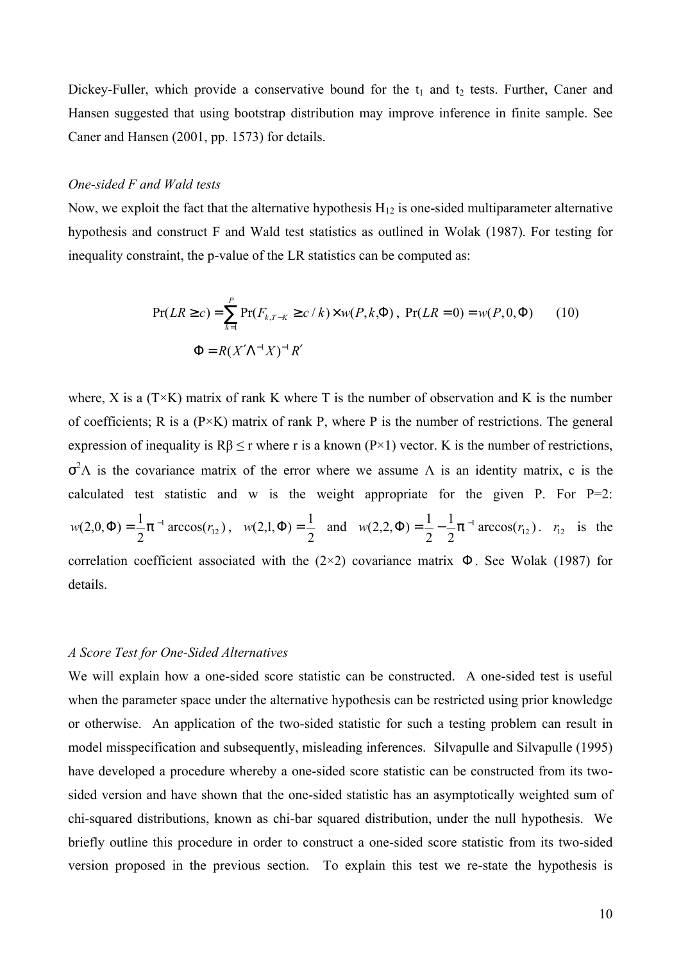Dickey-Fuller, which provide a conservative bound for the  $t_1$  and  $t_2$  tests. Further, Caner and Hansen suggested that using bootstrap distribution may improve inference in finite sample. See Caner and Hansen (2001, pp. 1573) for details.

### *One-sided F and Wald tests*

Now, we exploit the fact that the alternative hypothesis  $H_{12}$  is one-sided multiparameter alternative hypothesis and construct F and Wald test statistics as outlined in Wolak (1987). For testing for inequality constraint, the p-value of the LR statistics can be computed as:

$$
Pr(LR \ge c) = \sum_{k=1}^{P} Pr(F_{k,T-K} \ge c/k) \times w(P,k,\Phi), \ Pr(LR = 0) = w(P,0,\Phi)
$$
 (10)  

$$
\Phi = R(X'\Lambda^{-1}X)^{-1}R'
$$

where, X is a  $(T \times K)$  matrix of rank K where T is the number of observation and K is the number of coefficients; R is a  $(P \times K)$  matrix of rank P, where P is the number of restrictions. The general expression of inequality is  $R\beta \le r$  where r is a known (P×1) vector. K is the number of restrictions,  $\sigma^2$ A is the covariance matrix of the error where we assume A is an identity matrix, c is the calculated test statistic and w is the weight appropriate for the given P. For  $P=2$ :  $\arccos(r_{12})$ 2  $w(2,0,\Phi) = \frac{1}{2}\rho^{-1} \arccos(r_{12}),$ 2  $w(2,1,\Phi) = \frac{1}{2}$  and  $w(2,2,\Phi) = \frac{1}{2} - \frac{1}{2}\phi^{-1} \arccos(r_1)$ 2 1 2  $w(2,2,\Phi) = \frac{1}{2} - \frac{1}{2}\rho^{-1} \arccos(r_{12}).$  *r*<sub>12</sub> is the correlation coefficient associated with the  $(2\times2)$  covariance matrix  $\Phi$ . See Wolak (1987) for details.

#### *A Score Test for One-Sided Alternatives*

We will explain how a one-sided score statistic can be constructed. A one-sided test is useful when the parameter space under the alternative hypothesis can be restricted using prior knowledge or otherwise. An application of the two-sided statistic for such a testing problem can result in model misspecification and subsequently, misleading inferences. Silvapulle and Silvapulle (1995) have developed a procedure whereby a one-sided score statistic can be constructed from its twosided version and have shown that the one-sided statistic has an asymptotically weighted sum of chi-squared distributions, known as chi-bar squared distribution, under the null hypothesis. We briefly outline this procedure in order to construct a one-sided score statistic from its two-sided version proposed in the previous section. To explain this test we re-state the hypothesis is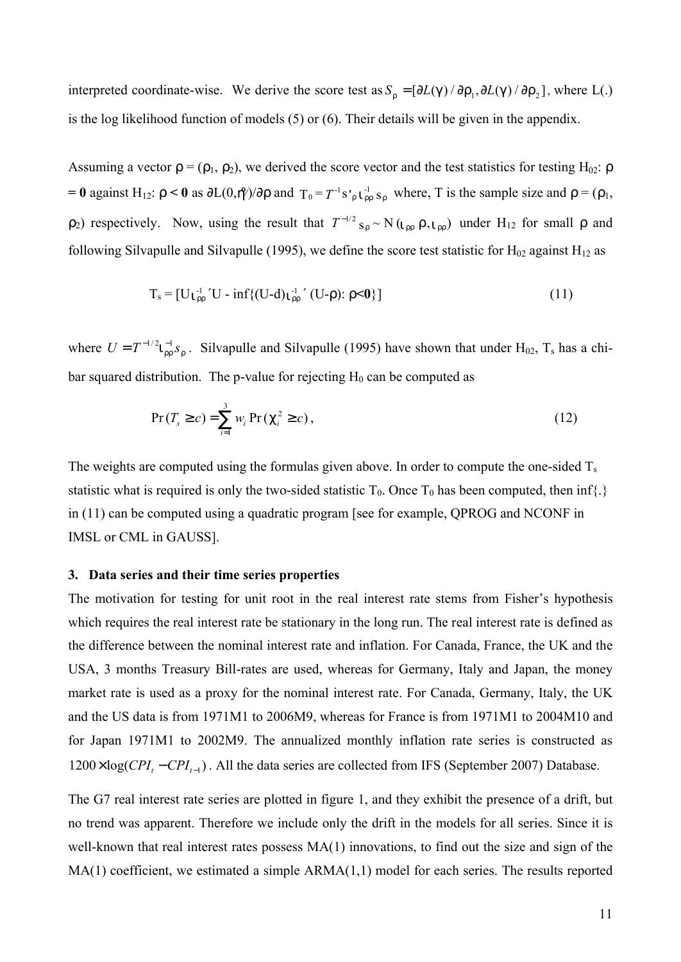interpreted coordinate-wise. We derive the score test as  $S_r = [\partial L(g) / \partial r_1, \partial L(g) / \partial r_2]$ , where L(.) is the log likelihood function of models (5) or (6). Their details will be given in the appendix.

Assuming a vector  $\mathbf{r} = (\mathbf{p}_1, \mathbf{p}_2)$ , we derived the score vector and the test statistics for testing H<sub>02</sub>:  $\mathbf{r}$ **= 0** against H<sub>12</sub>: **r** < **0** as ∂L(0, $\theta$ )/∂**r** and  $T_0 = T^{-1} s'$ <sub>r</sub>  $\mathbf{i} \cdot \mathbf{r}$ <sub>*n*</sub> where, T is the sample size and **r** = ( $\rho_1$ ,  $\rho_2$ ) respectively. Now, using the result that  $T^{-1/2}$  s<sub>r</sub> ~ N ( $\mathbf{i}_{rr}$  r,  $\mathbf{i}_{rr}$ ) under H<sub>12</sub> for small  $\rho$  and following Silvapulle and Silvapulle (1995), we define the score test statistic for  $H_{02}$  against  $H_{12}$  as

$$
T_s = [Uj_{rr}^{\perp} 'U - inf\{(U-d)j_{rr}^{\perp} ' (U-r): r < 0\}]
$$
\n(11)

where  $U = T^{-1/2} i_{rr}^{-1} s_r$ . Silvapulle and Silvapulle (1995) have shown that under H<sub>02</sub>, T<sub>s</sub> has a chibar squared distribution. The p-value for rejecting  $H_0$  can be computed as

$$
Pr(T_s \ge c) = \sum_{i=1}^{3} w_i Pr(C_i^2 \ge c),
$$
\n(12)

The weights are computed using the formulas given above. In order to compute the one-sided  $T_s$ statistic what is required is only the two-sided statistic  $T_0$ . Once  $T_0$  has been computed, then inf{.} in (11) can be computed using a quadratic program [see for example, QPROG and NCONF in IMSL or CML in GAUSS].

#### **3. Data series and their time series properties**

The motivation for testing for unit root in the real interest rate stems from Fisher's hypothesis which requires the real interest rate be stationary in the long run. The real interest rate is defined as the difference between the nominal interest rate and inflation. For Canada, France, the UK and the USA, 3 months Treasury Bill-rates are used, whereas for Germany, Italy and Japan, the money market rate is used as a proxy for the nominal interest rate. For Canada, Germany, Italy, the UK and the US data is from 1971M1 to 2006M9, whereas for France is from 1971M1 to 2004M10 and for Japan 1971M1 to 2002M9. The annualized monthly inflation rate series is constructed as  $1200 \times \log(CPI_t - CPI_{t-1})$ . All the data series are collected from IFS (September 2007) Database.

The G7 real interest rate series are plotted in figure 1, and they exhibit the presence of a drift, but no trend was apparent. Therefore we include only the drift in the models for all series. Since it is well-known that real interest rates possess  $MA(1)$  innovations, to find out the size and sign of the MA(1) coefficient, we estimated a simple ARMA(1,1) model for each series. The results reported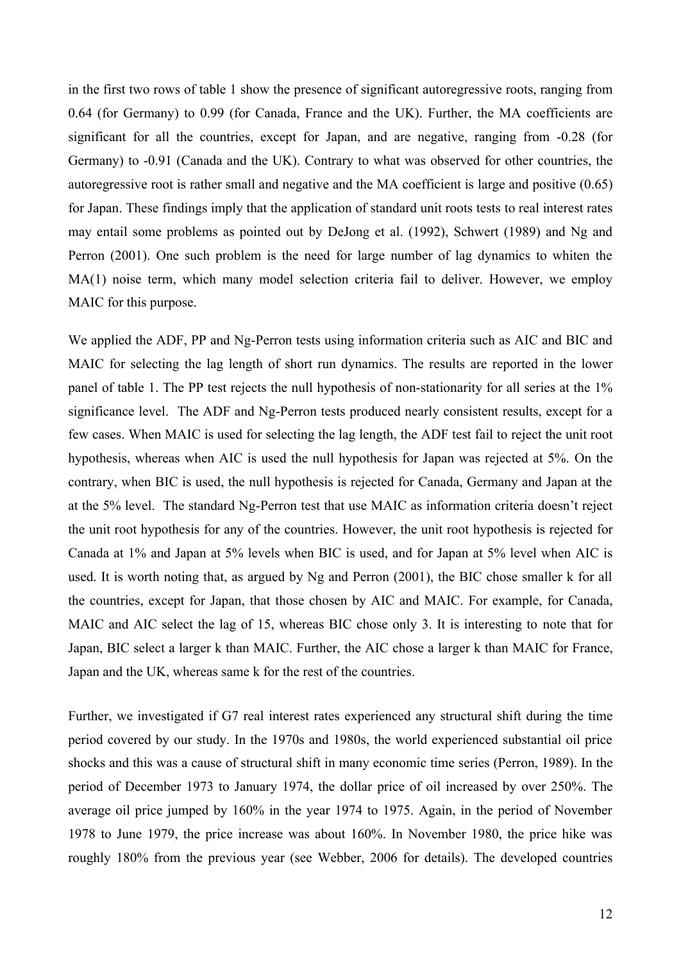in the first two rows of table 1 show the presence of significant autoregressive roots, ranging from 0.64 (for Germany) to 0.99 (for Canada, France and the UK). Further, the MA coefficients are significant for all the countries, except for Japan, and are negative, ranging from -0.28 (for Germany) to -0.91 (Canada and the UK). Contrary to what was observed for other countries, the autoregressive root is rather small and negative and the MA coefficient is large and positive (0.65) for Japan. These findings imply that the application of standard unit roots tests to real interest rates may entail some problems as pointed out by DeJong et al. (1992), Schwert (1989) and Ng and Perron (2001). One such problem is the need for large number of lag dynamics to whiten the MA(1) noise term, which many model selection criteria fail to deliver. However, we employ MAIC for this purpose.

We applied the ADF, PP and Ng-Perron tests using information criteria such as AIC and BIC and MAIC for selecting the lag length of short run dynamics. The results are reported in the lower panel of table 1. The PP test rejects the null hypothesis of non-stationarity for all series at the 1% significance level. The ADF and Ng-Perron tests produced nearly consistent results, except for a few cases. When MAIC is used for selecting the lag length, the ADF test fail to reject the unit root hypothesis, whereas when AIC is used the null hypothesis for Japan was rejected at 5%. On the contrary, when BIC is used, the null hypothesis is rejected for Canada, Germany and Japan at the at the 5% level. The standard Ng-Perron test that use MAIC as information criteria doesn't reject the unit root hypothesis for any of the countries. However, the unit root hypothesis is rejected for Canada at 1% and Japan at 5% levels when BIC is used, and for Japan at 5% level when AIC is used. It is worth noting that, as argued by Ng and Perron (2001), the BIC chose smaller k for all the countries, except for Japan, that those chosen by AIC and MAIC. For example, for Canada, MAIC and AIC select the lag of 15, whereas BIC chose only 3. It is interesting to note that for Japan, BIC select a larger k than MAIC. Further, the AIC chose a larger k than MAIC for France, Japan and the UK, whereas same k for the rest of the countries.

Further, we investigated if G7 real interest rates experienced any structural shift during the time period covered by our study. In the 1970s and 1980s, the world experienced substantial oil price shocks and this was a cause of structural shift in many economic time series (Perron, 1989). In the period of December 1973 to January 1974, the dollar price of oil increased by over 250%. The average oil price jumped by 160% in the year 1974 to 1975. Again, in the period of November 1978 to June 1979, the price increase was about 160%. In November 1980, the price hike was roughly 180% from the previous year (see Webber, 2006 for details). The developed countries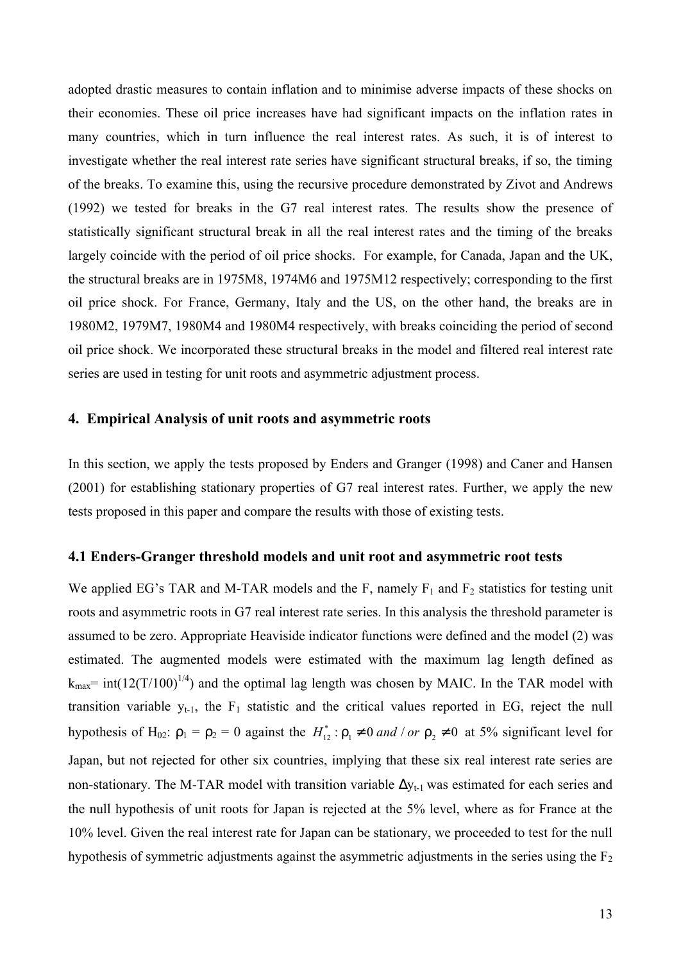adopted drastic measures to contain inflation and to minimise adverse impacts of these shocks on their economies. These oil price increases have had significant impacts on the inflation rates in many countries, which in turn influence the real interest rates. As such, it is of interest to investigate whether the real interest rate series have significant structural breaks, if so, the timing of the breaks. To examine this, using the recursive procedure demonstrated by Zivot and Andrews (1992) we tested for breaks in the G7 real interest rates. The results show the presence of statistically significant structural break in all the real interest rates and the timing of the breaks largely coincide with the period of oil price shocks. For example, for Canada, Japan and the UK, the structural breaks are in 1975M8, 1974M6 and 1975M12 respectively; corresponding to the first oil price shock. For France, Germany, Italy and the US, on the other hand, the breaks are in 1980M2, 1979M7, 1980M4 and 1980M4 respectively, with breaks coinciding the period of second oil price shock. We incorporated these structural breaks in the model and filtered real interest rate series are used in testing for unit roots and asymmetric adjustment process.

#### **4. Empirical Analysis of unit roots and asymmetric roots**

In this section, we apply the tests proposed by Enders and Granger (1998) and Caner and Hansen (2001) for establishing stationary properties of G7 real interest rates. Further, we apply the new tests proposed in this paper and compare the results with those of existing tests.

#### **4.1 Enders-Granger threshold models and unit root and asymmetric root tests**

We applied EG's TAR and M-TAR models and the F, namely  $F_1$  and  $F_2$  statistics for testing unit roots and asymmetric roots in G7 real interest rate series. In this analysis the threshold parameter is assumed to be zero. Appropriate Heaviside indicator functions were defined and the model (2) was estimated. The augmented models were estimated with the maximum lag length defined as  $k_{max}$  = int(12(T/100)<sup>1/4</sup>) and the optimal lag length was chosen by MAIC. In the TAR model with transition variable  $y_{t-1}$ , the  $F_1$  statistic and the critical values reported in EG, reject the null hypothesis of H<sub>02</sub>:  $\rho_1 = \rho_2 = 0$  against the  $H_{12}^*$ :  $r_1 \neq 0$  *and* / *or*  $r_2 \neq 0$  at 5% significant level for Japan, but not rejected for other six countries, implying that these six real interest rate series are non-stationary. The M-TAR model with transition variable  $\Delta y_{t-1}$  was estimated for each series and the null hypothesis of unit roots for Japan is rejected at the 5% level, where as for France at the 10% level. Given the real interest rate for Japan can be stationary, we proceeded to test for the null hypothesis of symmetric adjustments against the asymmetric adjustments in the series using the  $F_2$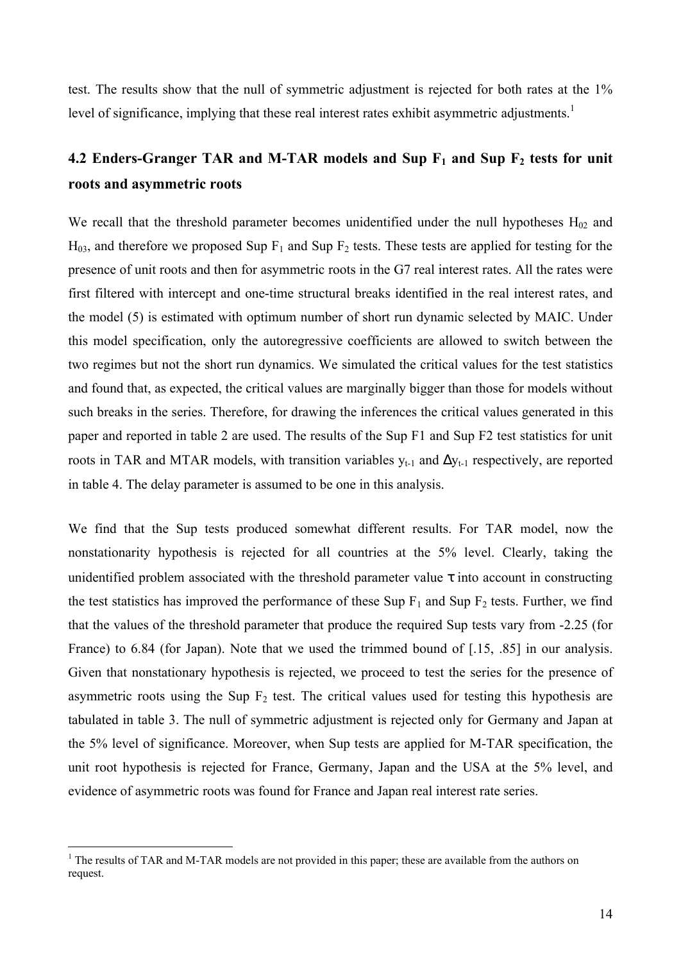test. The results show that the null of symmetric adjustment is rejected for both rates at the 1% level of significance, implying that these real interest rates exhibit asymmetric adjustments.<sup>1</sup>

# **4.2 Enders-Granger TAR and M-TAR models and Sup F1 and Sup F2 tests for unit roots and asymmetric roots**

We recall that the threshold parameter becomes unidentified under the null hypotheses  $H_{02}$  and  $H_{03}$ , and therefore we proposed Sup  $F_1$  and Sup  $F_2$  tests. These tests are applied for testing for the presence of unit roots and then for asymmetric roots in the G7 real interest rates. All the rates were first filtered with intercept and one-time structural breaks identified in the real interest rates, and the model (5) is estimated with optimum number of short run dynamic selected by MAIC. Under this model specification, only the autoregressive coefficients are allowed to switch between the two regimes but not the short run dynamics. We simulated the critical values for the test statistics and found that, as expected, the critical values are marginally bigger than those for models without such breaks in the series. Therefore, for drawing the inferences the critical values generated in this paper and reported in table 2 are used. The results of the Sup F1 and Sup F2 test statistics for unit roots in TAR and MTAR models, with transition variables  $y_{t-1}$  and  $\Delta y_{t-1}$  respectively, are reported in table 4. The delay parameter is assumed to be one in this analysis.

We find that the Sup tests produced somewhat different results. For TAR model, now the nonstationarity hypothesis is rejected for all countries at the 5% level. Clearly, taking the unidentified problem associated with the threshold parameter value  $\tau$  into account in constructing the test statistics has improved the performance of these Sup  $F_1$  and Sup  $F_2$  tests. Further, we find that the values of the threshold parameter that produce the required Sup tests vary from -2.25 (for France) to 6.84 (for Japan). Note that we used the trimmed bound of [.15, .85] in our analysis. Given that nonstationary hypothesis is rejected, we proceed to test the series for the presence of asymmetric roots using the Sup  $F_2$  test. The critical values used for testing this hypothesis are tabulated in table 3. The null of symmetric adjustment is rejected only for Germany and Japan at the 5% level of significance. Moreover, when Sup tests are applied for M-TAR specification, the unit root hypothesis is rejected for France, Germany, Japan and the USA at the 5% level, and evidence of asymmetric roots was found for France and Japan real interest rate series.

 $\overline{a}$ 

<sup>&</sup>lt;sup>1</sup> The results of TAR and M-TAR models are not provided in this paper; these are available from the authors on request.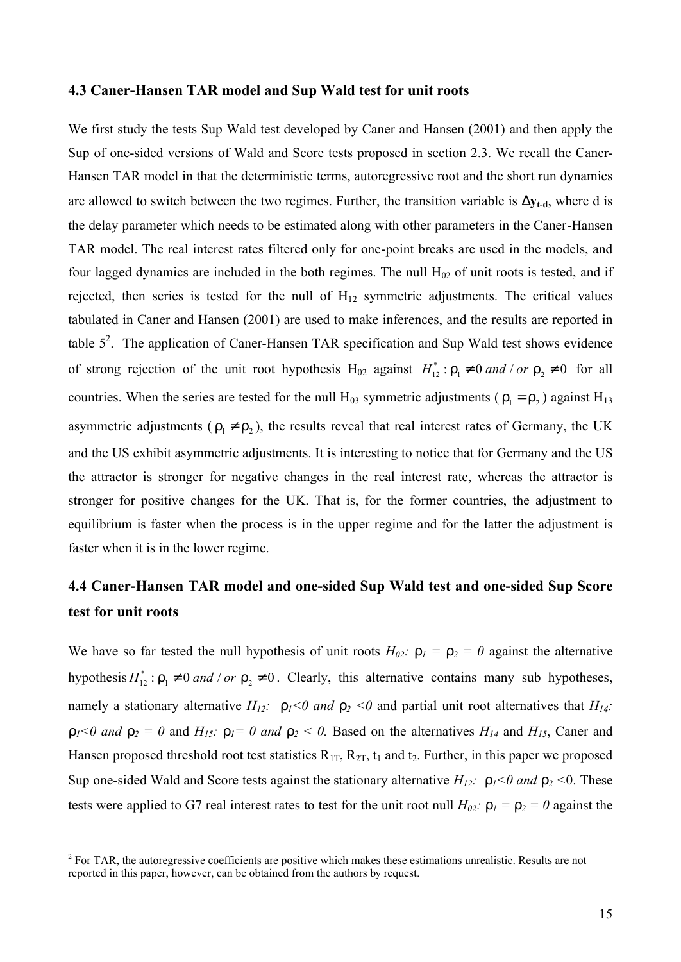#### **4.3 Caner-Hansen TAR model and Sup Wald test for unit roots**

We first study the tests Sup Wald test developed by Caner and Hansen (2001) and then apply the Sup of one-sided versions of Wald and Score tests proposed in section 2.3. We recall the Caner-Hansen TAR model in that the deterministic terms, autoregressive root and the short run dynamics are allowed to switch between the two regimes. Further, the transition variable is  $Dy_t$ -d, where d is the delay parameter which needs to be estimated along with other parameters in the Caner-Hansen TAR model. The real interest rates filtered only for one-point breaks are used in the models, and four lagged dynamics are included in the both regimes. The null  $H<sub>02</sub>$  of unit roots is tested, and if rejected, then series is tested for the null of  $H_{12}$  symmetric adjustments. The critical values tabulated in Caner and Hansen (2001) are used to make inferences, and the results are reported in table  $5^2$ . The application of Caner-Hansen TAR specification and Sup Wald test shows evidence of strong rejection of the unit root hypothesis  $H_{02}$  against  $H_{12}^*$ :  $r_1 \neq 0$  *and* / *or*  $r_2 \neq 0$  for all countries. When the series are tested for the null  $H_{03}$  symmetric adjustments ( $r_1 = r_2$ ) against  $H_{13}$ asymmetric adjustments ( $r_1 \neq r_2$ ), the results reveal that real interest rates of Germany, the UK and the US exhibit asymmetric adjustments. It is interesting to notice that for Germany and the US the attractor is stronger for negative changes in the real interest rate, whereas the attractor is stronger for positive changes for the UK. That is, for the former countries, the adjustment to equilibrium is faster when the process is in the upper regime and for the latter the adjustment is faster when it is in the lower regime.

## **4.4 Caner-Hansen TAR model and one-sided Sup Wald test and one-sided Sup Score test for unit roots**

We have so far tested the null hypothesis of unit roots  $H_{02}$ *:*  $r_1 = r_2 = 0$  against the alternative hypothesis  $H_{12}^*$ :  $r_1 \neq 0$  *and* / *or*  $r_2 \neq 0$ . Clearly, this alternative contains many sub hypotheses, namely a stationary alternative  $H_{12}$ :  $r_1 < 0$  and  $r_2 < 0$  and partial unit root alternatives that  $H_{14}$ :  $r_1 < 0$  and  $r_2 = 0$  and  $H_{15}$ :  $r_1 = 0$  and  $r_2 < 0$ . Based on the alternatives  $H_{14}$  and  $H_{15}$ , Caner and Hansen proposed threshold root test statistics  $R_{1T}$ ,  $R_{2T}$ ,  $t_1$  and  $t_2$ . Further, in this paper we proposed Sup one-sided Wald and Score tests against the stationary alternative  $H_{12}$ :  $r_1 < 0$  and  $r_2 < 0$ . These tests were applied to G7 real interest rates to test for the unit root null  $H_{02}$ :  $r_1 = r_2 = 0$  against the

 $\overline{a}$ 

 $2^2$  For TAR, the autoregressive coefficients are positive which makes these estimations unrealistic. Results are not reported in this paper, however, can be obtained from the authors by request.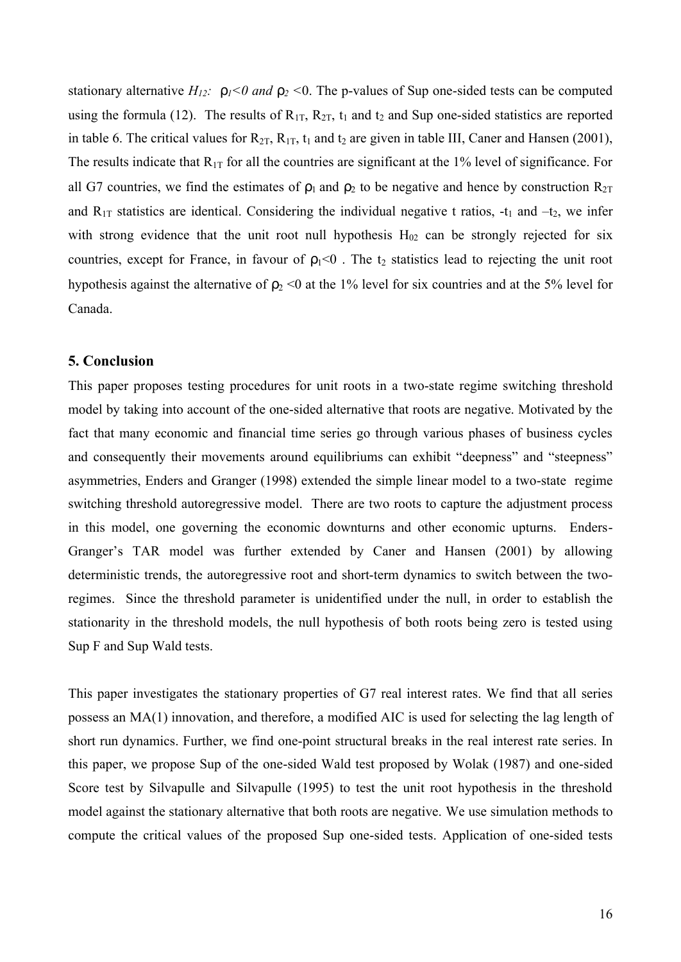stationary alternative  $H_{12}$ :  $r_1 < 0$  and  $r_2 < 0$ . The p-values of Sup one-sided tests can be computed using the formula (12). The results of  $R_{1T}$ ,  $R_{2T}$ ,  $t_1$  and  $t_2$  and Sup one-sided statistics are reported in table 6. The critical values for  $R_{2T}$ ,  $R_{1T}$ ,  $t_1$  and  $t_2$  are given in table III, Caner and Hansen (2001), The results indicate that  $R_{1T}$  for all the countries are significant at the 1% level of significance. For all G7 countries, we find the estimates of  $\rho_1$  and  $\rho_2$  to be negative and hence by construction  $R_{2T}$ and  $R_{1T}$  statistics are identical. Considering the individual negative t ratios, -t<sub>1</sub> and -t<sub>2</sub>, we infer with strong evidence that the unit root null hypothesis  $H_{02}$  can be strongly rejected for six countries, except for France, in favour of  $\rho_1<0$ . The t<sub>2</sub> statistics lead to rejecting the unit root hypothesis against the alternative of  $p_2 < 0$  at the 1% level for six countries and at the 5% level for Canada.

### **5. Conclusion**

This paper proposes testing procedures for unit roots in a two-state regime switching threshold model by taking into account of the one-sided alternative that roots are negative. Motivated by the fact that many economic and financial time series go through various phases of business cycles and consequently their movements around equilibriums can exhibit "deepness" and "steepness" asymmetries, Enders and Granger (1998) extended the simple linear model to a two-state regime switching threshold autoregressive model. There are two roots to capture the adjustment process in this model, one governing the economic downturns and other economic upturns. Enders-Granger's TAR model was further extended by Caner and Hansen (2001) by allowing deterministic trends, the autoregressive root and short-term dynamics to switch between the tworegimes. Since the threshold parameter is unidentified under the null, in order to establish the stationarity in the threshold models, the null hypothesis of both roots being zero is tested using Sup F and Sup Wald tests.

This paper investigates the stationary properties of G7 real interest rates. We find that all series possess an MA(1) innovation, and therefore, a modified AIC is used for selecting the lag length of short run dynamics. Further, we find one-point structural breaks in the real interest rate series. In this paper, we propose Sup of the one-sided Wald test proposed by Wolak (1987) and one-sided Score test by Silvapulle and Silvapulle (1995) to test the unit root hypothesis in the threshold model against the stationary alternative that both roots are negative. We use simulation methods to compute the critical values of the proposed Sup one-sided tests. Application of one-sided tests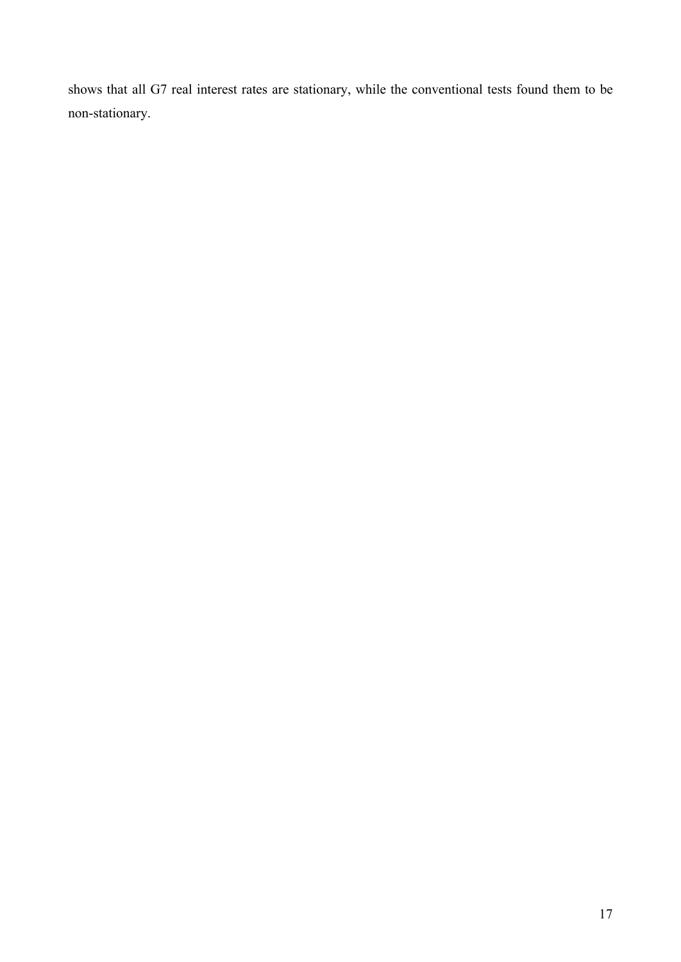shows that all G7 real interest rates are stationary, while the conventional tests found them to be non-stationary.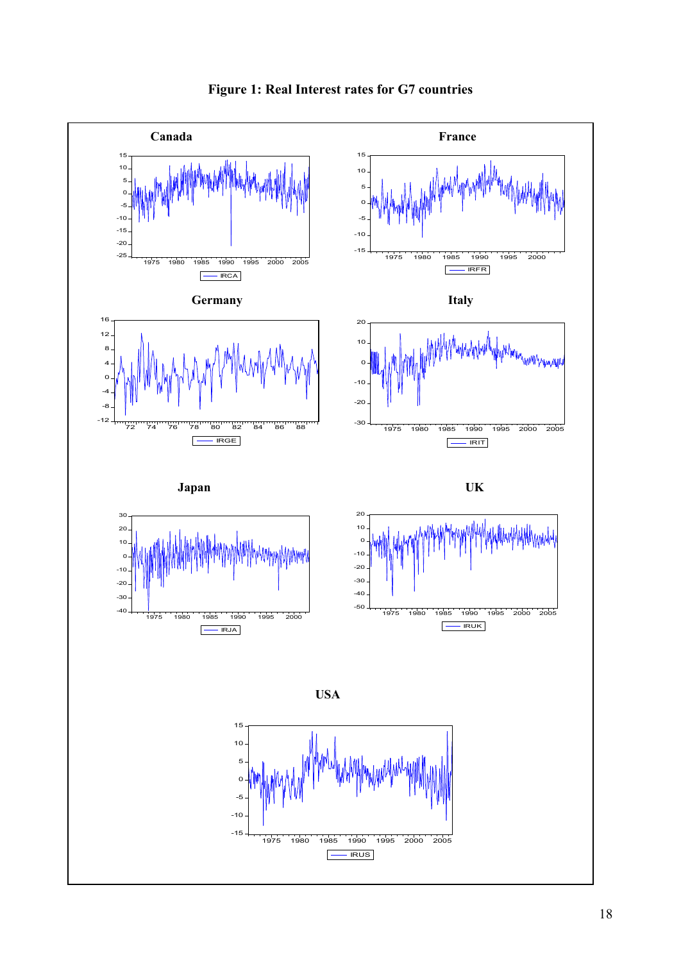

**Figure 1: Real Interest rates for G7 countries**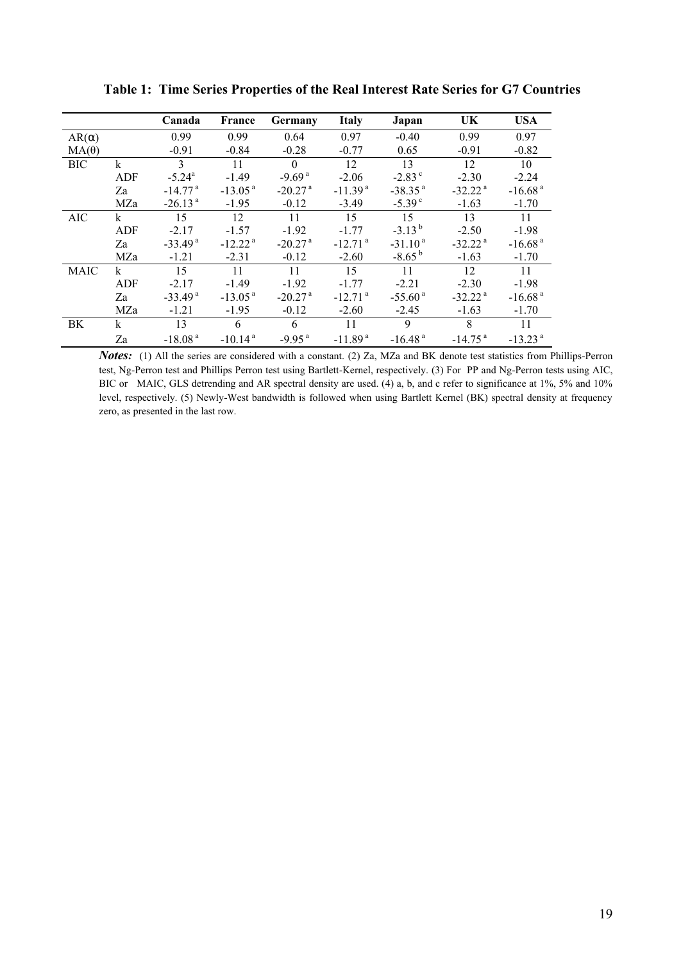|              |            | Canada                | France                | Germany               | <b>Italy</b>          | Japan                 | UK                    | <b>USA</b>            |
|--------------|------------|-----------------------|-----------------------|-----------------------|-----------------------|-----------------------|-----------------------|-----------------------|
| $AR(\alpha)$ |            | 0.99                  | 0.99                  | 0.64                  | 0.97                  | $-0.40$               | 0.99                  | 0.97                  |
| $MA(\theta)$ |            | $-0.91$               | $-0.84$               | $-0.28$               | $-0.77$               | 0.65                  | $-0.91$               | $-0.82$               |
| <b>BIC</b>   | $\bf k$    | 3                     | 11                    | $\Omega$              | 12                    | 13                    | 12                    | 10                    |
|              | <b>ADF</b> | $-5.24^{\circ}$       | $-1.49$               | $-9.69a$              | $-2.06$               | $-2.83^{\circ}$       | $-2.30$               | $-2.24$               |
|              | Za         | $-14.77$ <sup>a</sup> | $-13.05a$             | $-20.27$ <sup>a</sup> | $-11.39a$             | $-38.35$ <sup>a</sup> | $-32.22$ <sup>a</sup> | $-16.68$ <sup>a</sup> |
|              | MZa        | $-26.13$ <sup>a</sup> | $-1.95$               | $-0.12$               | $-3.49$               | $-5.39c$              | $-1.63$               | $-1.70$               |
| <b>AIC</b>   | k          | 15                    | 12                    | 11                    | 15                    | 15                    | 13                    | 11                    |
|              | <b>ADF</b> | $-2.17$               | $-1.57$               | $-1.92$               | $-1.77$               | $-3.13^{b}$           | $-2.50$               | $-1.98$               |
|              | Za         | $-33.49$ <sup>a</sup> | $-12.22a$             | $-20.27$ <sup>a</sup> | $-12.71$ <sup>a</sup> | $-31.10a$             | $-32.22$ <sup>a</sup> | $-16.68a$             |
|              | MZa        | $-1.21$               | $-2.31$               | $-0.12$               | $-2.60$               | $-8.65^{b}$           | $-1.63$               | $-1.70$               |
| <b>MAIC</b>  | k          | 15                    | 11                    | 11                    | 15                    | 11                    | 12                    | 11                    |
|              | <b>ADF</b> | $-2.17$               | $-1.49$               | $-1.92$               | $-177$                | $-2.21$               | $-2.30$               | $-1.98$               |
|              | Za         | $-33.49$ <sup>a</sup> | $-13.05a$             | $-20.27$ <sup>a</sup> | $-12.71$ <sup>a</sup> | $-55.60$ <sup>a</sup> | $-32.22$ <sup>a</sup> | $-16.68a$             |
|              | MZa        | $-1.21$               | $-1.95$               | $-0.12$               | $-2.60$               | $-2.45$               | $-1.63$               | $-1.70$               |
| BK           | k          | 13                    | 6                     | 6                     | 11                    | 9                     | 8                     | 11                    |
|              | Za         | $-18.08a$             | $-10.14$ <sup>a</sup> | $-9.95$ <sup>a</sup>  | $-11.89a$             | $-16.48$ <sup>a</sup> | $-14.75$ <sup>a</sup> | $-13.23$ <sup>a</sup> |

 **Table 1: Time Series Properties of the Real Interest Rate Series for G7 Countries** 

*Notes*: (1) All the series are considered with a constant. (2) Za, MZa and BK denote test statistics from Phillips-Perron test, Ng-Perron test and Phillips Perron test using Bartlett-Kernel, respectively. (3) For PP and Ng-Perron tests using AIC, BIC or MAIC, GLS detrending and AR spectral density are used. (4) a, b, and c refer to significance at 1%, 5% and 10% level, respectively. (5) Newly-West bandwidth is followed when using Bartlett Kernel (BK) spectral density at frequency zero, as presented in the last row.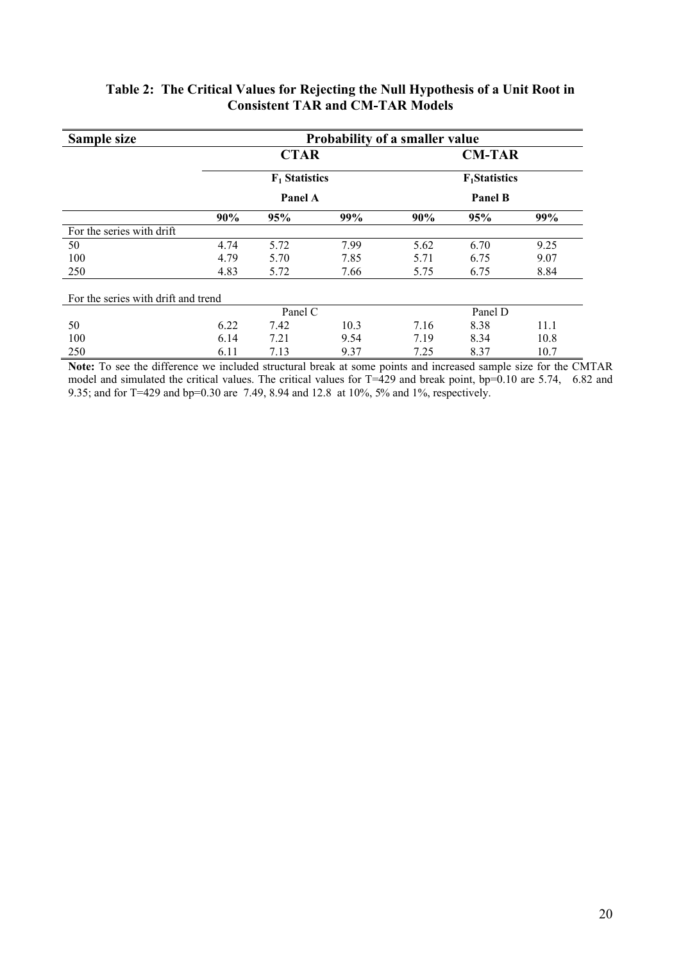| Sample size                         | <b>Probability of a smaller value</b> |             |      |                  |                      |      |  |  |  |
|-------------------------------------|---------------------------------------|-------------|------|------------------|----------------------|------|--|--|--|
|                                     |                                       | <b>CTAR</b> |      |                  | <b>CM-TAR</b>        |      |  |  |  |
|                                     | $F_1$ Statistics                      |             |      | $F_1$ Statistics |                      |      |  |  |  |
|                                     |                                       | Panel A     |      | <b>Panel B</b>   |                      |      |  |  |  |
|                                     | 90%                                   | 95%         | 99%  | 90%              | 95%                  | 99%  |  |  |  |
| For the series with drift           |                                       |             |      |                  |                      |      |  |  |  |
| 50                                  | 4.74                                  | 5.72        | 7.99 | 5.62             | 6.70                 | 9.25 |  |  |  |
| 100                                 | 4.79                                  | 5.70        | 7.85 | 5.71             | 6.75                 | 9.07 |  |  |  |
| 250                                 | 4.83                                  | 5.72        | 7.66 | 5.75             | 6.75                 | 8.84 |  |  |  |
| For the series with drift and trend |                                       |             |      |                  |                      |      |  |  |  |
|                                     |                                       | Panel C     |      |                  | Panel D              |      |  |  |  |
| 50                                  | 6.22                                  | 7.42        | 10.3 | 7.16             | 8.38                 | 11.1 |  |  |  |
| 100                                 | 6.14                                  | 7.21        | 9.54 | 7.19             | 8.34                 | 10.8 |  |  |  |
| 250<br>1.00<br>$\sim$<br>$-1$       | 6.11<br>.                             | 7.13<br>1.1 | 9.37 | 7.25<br>$\cdot$  | 8.37<br>$\mathbf{1}$ | 10.7 |  |  |  |

## **Table 2: The Critical Values for Rejecting the Null Hypothesis of a Unit Root in Consistent TAR and CM-TAR Models**

**Note:** To see the difference we included structural break at some points and increased sample size for the CMTAR model and simulated the critical values. The critical values for T=429 and break point, bp=0.10 are 5.74, 6.82 and 9.35; and for T=429 and bp=0.30 are 7.49, 8.94 and 12.8 at 10%, 5% and 1%, respectively.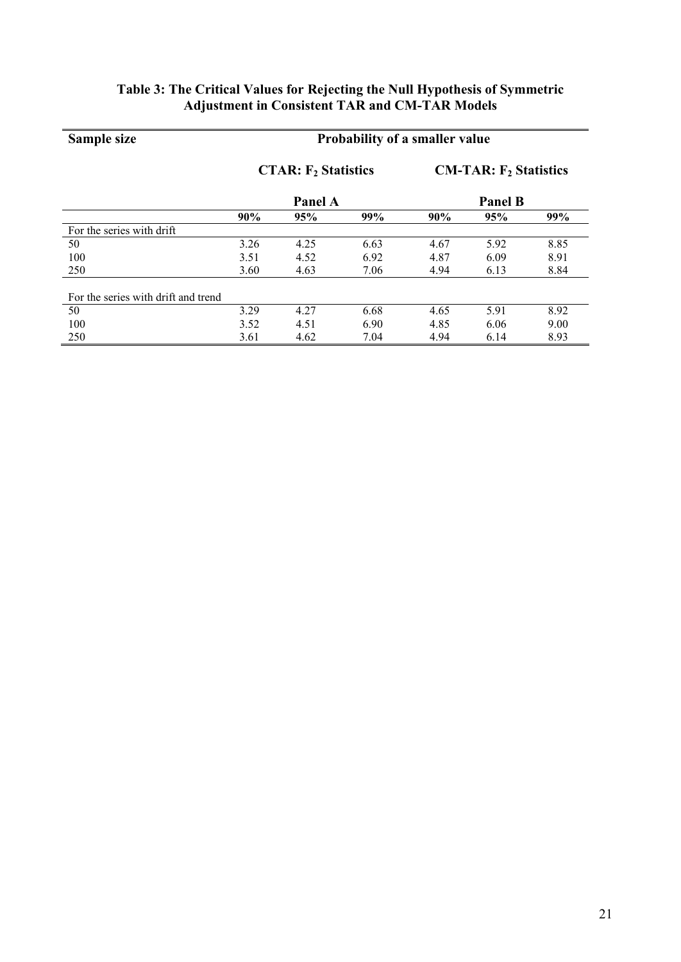## **Table 3: The Critical Values for Rejecting the Null Hypothesis of Symmetric Adjustment in Consistent TAR and CM-TAR Models**

### **Sample size Probability of a smaller value CTAR: F<sup>2</sup> Statistics Panel A**<br>95% **CM-TAR: F<sup>2</sup> Statistics Panel B**<br>95% **90% 95% 99% 90% 95% 99%** For the series with drift<br>50 50 3.26 4.25 6.63 4.67 5.92 8.85 100 3.51 4.52 6.92 4.87 6.09 8.91 250 3.60 4.63 7.06 4.94 6.13 8.84 For the series with drift and trend 50 3.29 4.27 6.68 4.65 5.91 8.92 100 3.52 4.51 6.90 4.85 6.06 9.00 250 3.61 4.62 7.04 4.94 6.14 8.93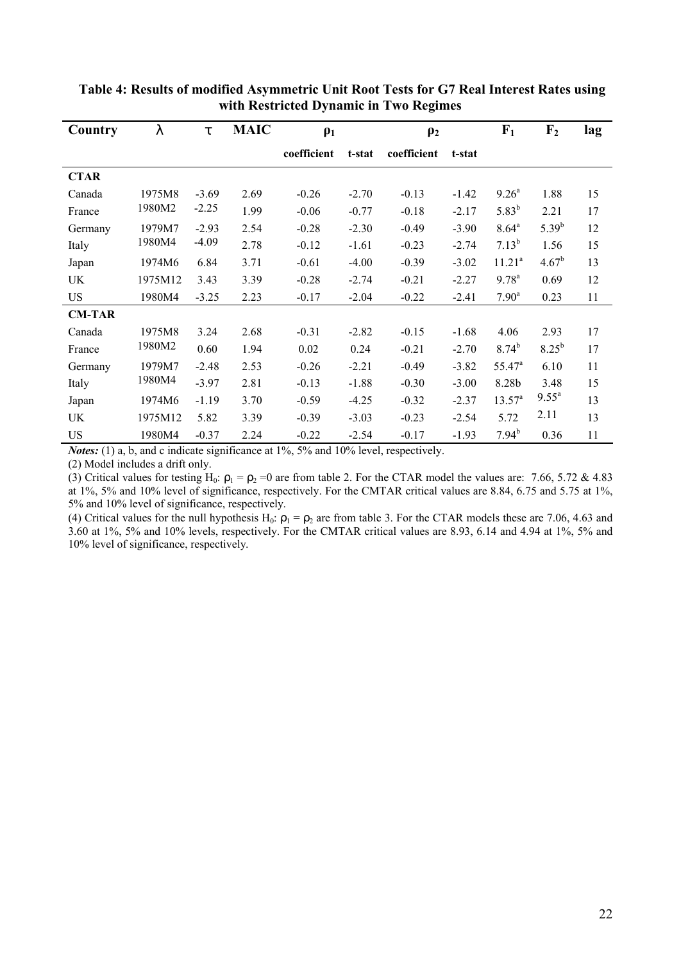| Country       |         | t       | <b>MAIC</b> | $\rho_1$    |         | $\rho_2$    |         | F <sub>1</sub>     | F <sub>2</sub>    | lag |
|---------------|---------|---------|-------------|-------------|---------|-------------|---------|--------------------|-------------------|-----|
|               |         |         |             | coefficient | t-stat  | coefficient | t-stat  |                    |                   |     |
| <b>CTAR</b>   |         |         |             |             |         |             |         |                    |                   |     |
| Canada        | 1975M8  | $-3.69$ | 2.69        | $-0.26$     | $-2.70$ | $-0.13$     | $-1.42$ | $9.26^{\circ}$     | 1.88              | 15  |
| France        | 1980M2  | $-2.25$ | 1.99        | $-0.06$     | $-0.77$ | $-0.18$     | $-2.17$ | $5.83^{b}$         | 2.21              | 17  |
| Germany       | 1979M7  | $-2.93$ | 2.54        | $-0.28$     | $-2.30$ | $-0.49$     | $-3.90$ | $8.64^{\rm a}$     | $5.39^{b}$        | 12  |
| Italy         | 1980M4  | $-4.09$ | 2.78        | $-0.12$     | $-1.61$ | $-0.23$     | $-2.74$ | $7.13^{b}$         | 1.56              | 15  |
| Japan         | 1974M6  | 6.84    | 3.71        | $-0.61$     | $-4.00$ | $-0.39$     | $-3.02$ | 11.21 <sup>a</sup> | $4.67^b$          | 13  |
| UK            | 1975M12 | 3.43    | 3.39        | $-0.28$     | $-2.74$ | $-0.21$     | $-2.27$ | $9.78^{a}$         | 0.69              | 12  |
| <b>US</b>     | 1980M4  | $-3.25$ | 2.23        | $-0.17$     | $-2.04$ | $-0.22$     | $-2.41$ | $7.90^{\text{a}}$  | 0.23              | 11  |
| <b>CM-TAR</b> |         |         |             |             |         |             |         |                    |                   |     |
| Canada        | 1975M8  | 3.24    | 2.68        | $-0.31$     | $-2.82$ | $-0.15$     | $-1.68$ | 4.06               | 2.93              | 17  |
| France        | 1980M2  | 0.60    | 1.94        | 0.02        | 0.24    | $-0.21$     | $-2.70$ | $8.74^{b}$         | $8.25^{b}$        | 17  |
| Germany       | 1979M7  | $-2.48$ | 2.53        | $-0.26$     | $-2.21$ | $-0.49$     | $-3.82$ | $55.47^{\circ}$    | 6.10              | 11  |
| Italy         | 1980M4  | $-3.97$ | 2.81        | $-0.13$     | $-1.88$ | $-0.30$     | $-3.00$ | 8.28b              | 3.48              | 15  |
| Japan         | 1974M6  | $-1.19$ | 3.70        | $-0.59$     | $-4.25$ | $-0.32$     | $-2.37$ | $13.57^a$          | $9.55^{\text{a}}$ | 13  |
| UK            | 1975M12 | 5.82    | 3.39        | $-0.39$     | $-3.03$ | $-0.23$     | $-2.54$ | 5.72               | 2.11              | 13  |
| <b>US</b>     | 1980M4  | $-0.37$ | 2.24        | $-0.22$     | $-2.54$ | $-0.17$     | $-1.93$ | $7.94^{b}$         | 0.36              | 11  |

 **Table 4: Results of modified Asymmetric Unit Root Tests for G7 Real Interest Rates using with Restricted Dynamic in Two Regimes**

*Notes:* (1) a, b, and c indicate significance at 1%, 5% and 10% level, respectively.

(2) Model includes a drift only.

(3) Critical values for testing H<sub>0</sub>:  $\rho_1 = \rho_2 = 0$  are from table 2. For the CTAR model the values are: 7.66, 5.72 & 4.83 at 1%, 5% and 10% level of significance, respectively. For the CMTAR critical values are 8.84, 6.75 and 5.75 at 1%, 5% and 10% level of significance, respectively.

(4) Critical values for the null hypothesis H<sub>0</sub>:  $\rho_1 = \rho_2$  are from table 3. For the CTAR models these are 7.06, 4.63 and 3.60 at 1%, 5% and 10% levels, respectively. For the CMTAR critical values are 8.93, 6.14 and 4.94 at 1%, 5% and 10% level of significance, respectively.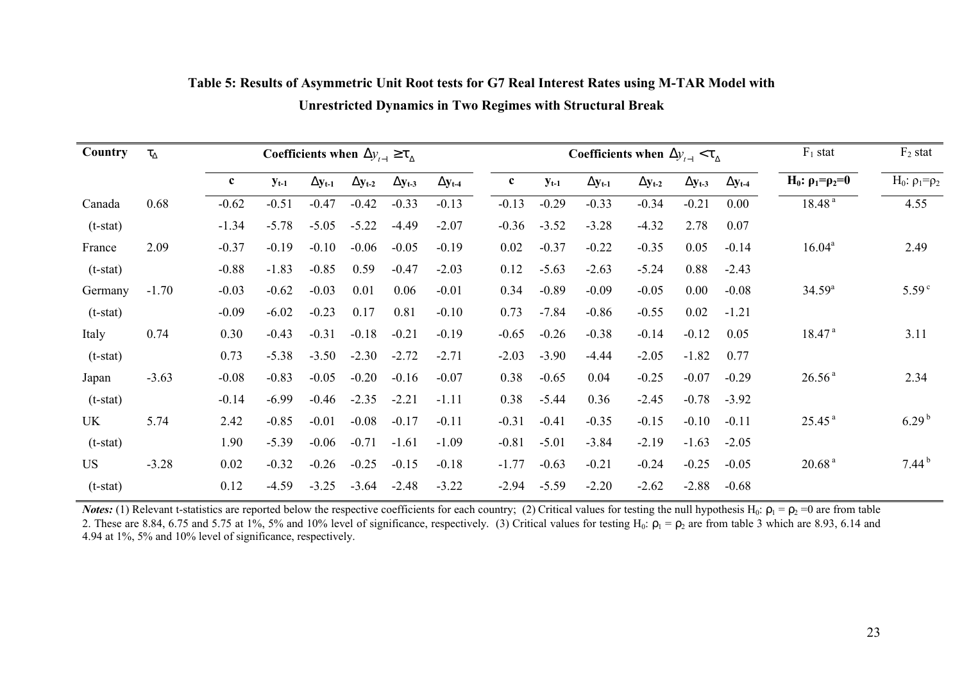| Country    | $t_{D}$ | Coefficients when $\Delta y_{t-1} \geq t_{\Delta}$ |           |            |            |            |            | Coefficients when $\Delta y_{t-1} < t_{\Delta}$ |  |           |            |            | $F_1$ stat | $F_2$ stat |                                  |                              |
|------------|---------|----------------------------------------------------|-----------|------------|------------|------------|------------|-------------------------------------------------|--|-----------|------------|------------|------------|------------|----------------------------------|------------------------------|
|            |         | $\mathbf c$                                        | $y_{t-1}$ | $Dy_{t-1}$ | $Dy_{t-2}$ | $Dy_{t-3}$ | $Dy_{t-4}$ | $\mathbf c$                                     |  | $y_{t-1}$ | $Dy_{t-1}$ | $Dy_{t-2}$ | $Dy_{t-3}$ | $Dy_{t-4}$ | H <sub>0</sub> : $ρ_1 = ρ_2 = 0$ | H <sub>0</sub> : $ρ_1 = ρ_2$ |
| Canada     | 0.68    | $-0.62$                                            | $-0.51$   | $-0.47$    | $-0.42$    | $-0.33$    | $-0.13$    | $-0.13$                                         |  | $-0.29$   | $-0.33$    | $-0.34$    | $-0.21$    | 0.00       | 18.48 <sup>a</sup>               | 4.55                         |
| $(t-stat)$ |         | $-1.34$                                            | $-5.78$   | $-5.05$    | $-5.22$    | $-4.49$    | $-2.07$    | $-0.36$                                         |  | $-3.52$   | $-3.28$    | $-4.32$    | 2.78       | 0.07       |                                  |                              |
| France     | 2.09    | $-0.37$                                            | $-0.19$   | $-0.10$    | $-0.06$    | $-0.05$    | $-0.19$    | 0.02                                            |  | $-0.37$   | $-0.22$    | $-0.35$    | 0.05       | $-0.14$    | $16.04^a$                        | 2.49                         |
| $(t-stat)$ |         | $-0.88$                                            | $-1.83$   | $-0.85$    | 0.59       | $-0.47$    | $-2.03$    | 0.12                                            |  | $-5.63$   | $-2.63$    | $-5.24$    | 0.88       | $-2.43$    |                                  |                              |
| Germany    | $-1.70$ | $-0.03$                                            | $-0.62$   | $-0.03$    | 0.01       | 0.06       | $-0.01$    | 0.34                                            |  | $-0.89$   | $-0.09$    | $-0.05$    | 0.00       | $-0.08$    | $34.59^{a}$                      | 5.59 <sup>c</sup>            |
| $(t-stat)$ |         | $-0.09$                                            | $-6.02$   | $-0.23$    | 0.17       | 0.81       | $-0.10$    | 0.73                                            |  | $-7.84$   | $-0.86$    | $-0.55$    | 0.02       | $-1.21$    |                                  |                              |
| Italy      | 0.74    | 0.30                                               | $-0.43$   | $-0.31$    | $-0.18$    | $-0.21$    | $-0.19$    | $-0.65$                                         |  | $-0.26$   | $-0.38$    | $-0.14$    | $-0.12$    | 0.05       | 18.47 <sup>a</sup>               | 3.11                         |
| $(t-stat)$ |         | 0.73                                               | $-5.38$   | $-3.50$    | $-2.30$    | $-2.72$    | $-2.71$    | $-2.03$                                         |  | $-3.90$   | $-4.44$    | $-2.05$    | $-1.82$    | 0.77       |                                  |                              |
| Japan      | $-3.63$ | $-0.08$                                            | $-0.83$   | $-0.05$    | $-0.20$    | $-0.16$    | $-0.07$    | 0.38                                            |  | $-0.65$   | 0.04       | $-0.25$    | $-0.07$    | $-0.29$    | 26.56 <sup>a</sup>               | 2.34                         |
| $(t-stat)$ |         | $-0.14$                                            | $-6.99$   | $-0.46$    | $-2.35$    | $-2.21$    | $-1.11$    | 0.38                                            |  | $-5.44$   | 0.36       | $-2.45$    | $-0.78$    | $-3.92$    |                                  |                              |
| UK         | 5.74    | 2.42                                               | $-0.85$   | $-0.01$    | $-0.08$    | $-0.17$    | $-0.11$    | $-0.31$                                         |  | $-0.41$   | $-0.35$    | $-0.15$    | $-0.10$    | $-0.11$    | 25.45 <sup>a</sup>               | $6.29^{b}$                   |
| $(t-stat)$ |         | 1.90                                               | $-5.39$   | $-0.06$    | $-0.71$    | $-1.61$    | $-1.09$    | $-0.81$                                         |  | $-5.01$   | $-3.84$    | $-2.19$    | $-1.63$    | $-2.05$    |                                  |                              |
| <b>US</b>  | $-3.28$ | 0.02                                               | $-0.32$   | $-0.26$    | $-0.25$    | $-0.15$    | $-0.18$    | $-1.77$                                         |  | $-0.63$   | $-0.21$    | $-0.24$    | $-0.25$    | $-0.05$    | 20.68 <sup>a</sup>               | $7.44^{b}$                   |
| $(t-stat)$ |         | 0.12                                               | $-4.59$   | $-3.25$    | $-3.64$    | $-2.48$    | $-3.22$    | $-2.94$                                         |  | $-5.59$   | $-2.20$    | $-2.62$    | $-2.88$    | $-0.68$    |                                  |                              |

## **Table 5: Results of Asymmetric Unit Root tests for G7 Real Interest Rates using M-TAR Model with Unrestricted Dynamics in Two Regimes with Structural Break**

*Notes:* (1) Relevant t-statistics are reported below the respective coefficients for each country; (2) Critical values for testing the null hypothesis H<sub>0</sub>:  $\rho_1 = \rho_2 = 0$  are from table 2. These are 8.84, 6.75 and 5.75 at 1%, 5% and 10% level of significance, respectively. (3) Critical values for testing H<sub>0</sub>:  $\rho_1 = \rho_2$  are from table 3 which are 8.93, 6.14 and 4.94 at 1%, 5% and 10% level of significance, respectively.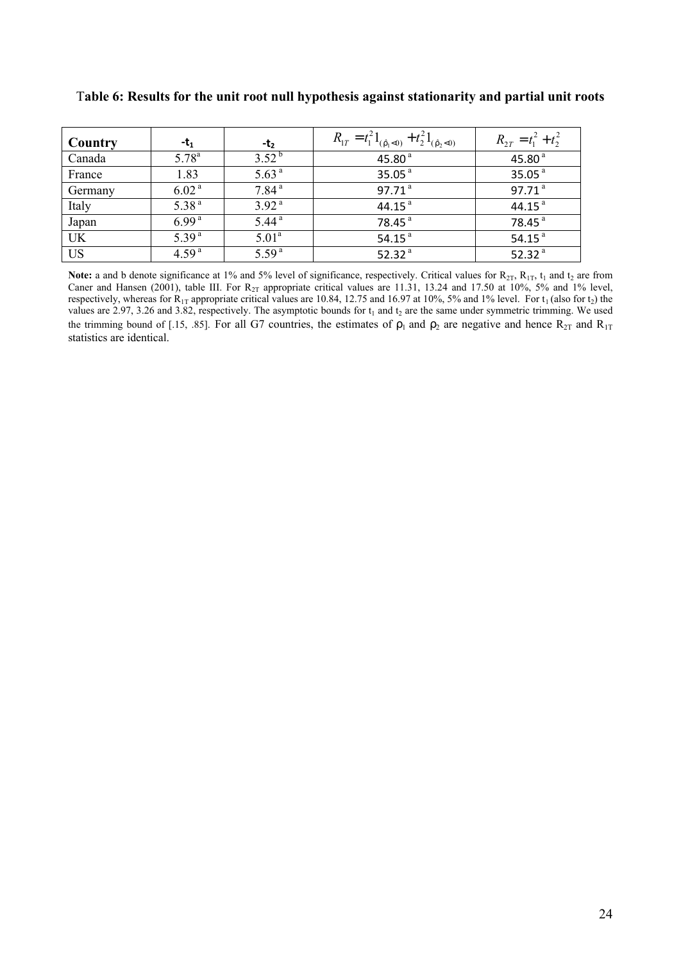| Country   | - $t_1$           | -t <sub>2</sub>   | $R_{1T} = t_1^2 1_{(\hat{r}_1 < 0)} + t_2^2 1_{(\hat{r}_2 < 0)}$ | $R_{2T} = t_1^2 + t_2^2$ |
|-----------|-------------------|-------------------|------------------------------------------------------------------|--------------------------|
| Canada    | $5.78^{a}$        | $3.52^{b}$        | 45.80 $a$                                                        | 45.80 $a$                |
| France    | 1.83              | 5.63 <sup>a</sup> | 35.05 $a$                                                        | 35.05 $a$                |
| Germany   | 6.02 <sup>a</sup> | 7.84 <sup>a</sup> | 97.71 <sup>a</sup>                                               | 97.71 $^a$               |
| Italy     | 5.38 <sup>a</sup> | 3.92 <sup>a</sup> | 44.15 $^{a}$                                                     | 44.15 $a$                |
| Japan     | 6.99 <sup>a</sup> | 5.44 <sup>a</sup> | 78.45 <sup>a</sup>                                               | 78.45 <sup>a</sup>       |
| <b>UK</b> | 5.39 <sup>a</sup> | 5.01 <sup>a</sup> | 54.15 $^{a}$                                                     | 54.15 $^{a}$             |
| <b>US</b> | 4.59 <sup>a</sup> | 5.59 <sup>a</sup> | 52.32 $a$                                                        | 52.32 $a$                |

T**able 6: Results for the unit root null hypothesis against stationarity and partial unit roots** 

**Note:** a and b denote significance at 1% and 5% level of significance, respectively. Critical values for  $R_{2T}$ ,  $R_{1T}$ ,  $t_1$  and  $t_2$  are from Caner and Hansen (2001), table III. For  $R_{2T}$  appropriate critical values are 11.31, 13.24 and 17.50 at 10%, 5% and 1% level, respectively, whereas for  $R_{1T}$  appropriate critical values are 10.84, 12.75 and 16.97 at 10%, 5% and 1% level. For  $t_1$  (also for  $t_2$ ) the values are 2.97, 3.26 and 3.82, respectively. The asymptotic bounds for  $t_1$  and  $t_2$  are the same under symmetric trimming. We used the trimming bound of [.15, .85]. For all G7 countries, the estimates of  $\rho_1$  and  $\rho_2$  are negative and hence  $R_{2T}$  and  $R_{1T}$ statistics are identical.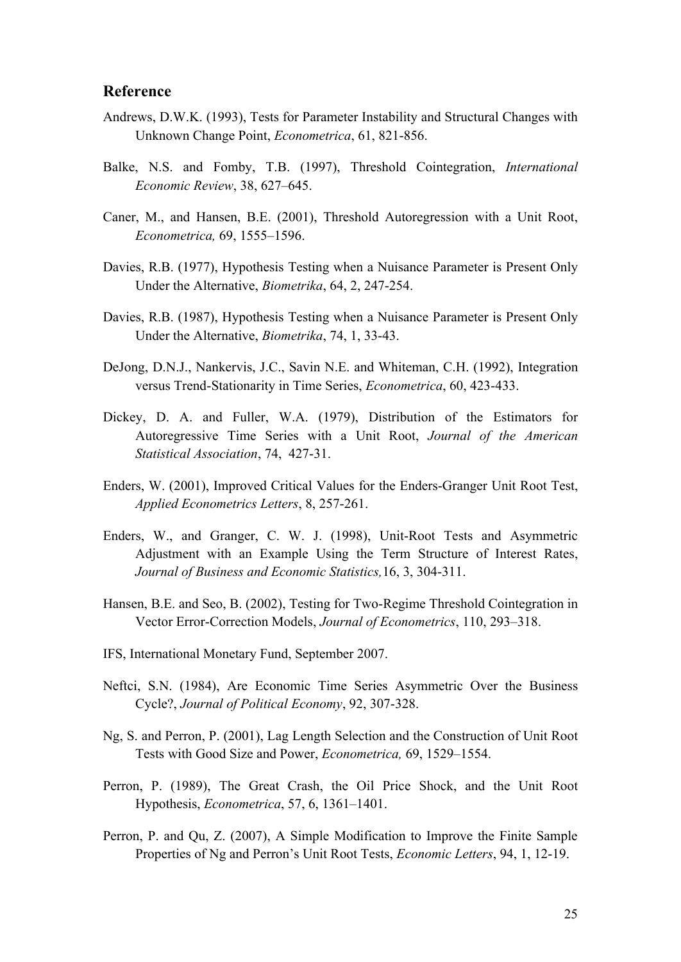### **Reference**

- Andrews, D.W.K. (1993), Tests for Parameter Instability and Structural Changes with Unknown Change Point, *Econometrica*, 61, 821-856.
- Balke, N.S. and Fomby, T.B. (1997), Threshold Cointegration, *International Economic Review*, 38, 627–645.
- Caner, M., and Hansen, B.E. (2001), Threshold Autoregression with a Unit Root, *Econometrica,* 69, 1555–1596.
- Davies, R.B. (1977), Hypothesis Testing when a Nuisance Parameter is Present Only Under the Alternative, *Biometrika*, 64, 2, 247-254.
- Davies, R.B. (1987), Hypothesis Testing when a Nuisance Parameter is Present Only Under the Alternative, *Biometrika*, 74, 1, 33-43.
- DeJong, D.N.J., Nankervis, J.C., Savin N.E. and Whiteman, C.H. (1992), Integration versus Trend-Stationarity in Time Series, *Econometrica*, 60, 423-433.
- Dickey, D. A. and Fuller, W.A. (1979), Distribution of the Estimators for Autoregressive Time Series with a Unit Root, *Journal of the American Statistical Association*, 74, 427-31.
- Enders, W. (2001), Improved Critical Values for the Enders-Granger Unit Root Test, *Applied Econometrics Letters*, 8, 257-261.
- Enders, W., and Granger, C. W. J. (1998), Unit-Root Tests and Asymmetric Adjustment with an Example Using the Term Structure of Interest Rates, *Journal of Business and Economic Statistics,*16, 3, 304-311.
- Hansen, B.E. and Seo, B. (2002), Testing for Two-Regime Threshold Cointegration in Vector Error-Correction Models, *Journal of Econometrics*, 110, 293–318.
- IFS, International Monetary Fund, September 2007.
- Neftci, S.N. (1984), Are Economic Time Series Asymmetric Over the Business Cycle?, *Journal of Political Economy*, 92, 307-328.
- Ng, S. and Perron, P. (2001), Lag Length Selection and the Construction of Unit Root Tests with Good Size and Power, *Econometrica,* 69, 1529–1554.
- Perron, P. (1989), The Great Crash, the Oil Price Shock, and the Unit Root Hypothesis, *Econometrica*, 57, 6, 1361–1401.
- Perron, P. and Qu, Z. (2007), A Simple Modification to Improve the Finite Sample Properties of Ng and Perron's Unit Root Tests, *Economic Letters*, 94, 1, 12-19.